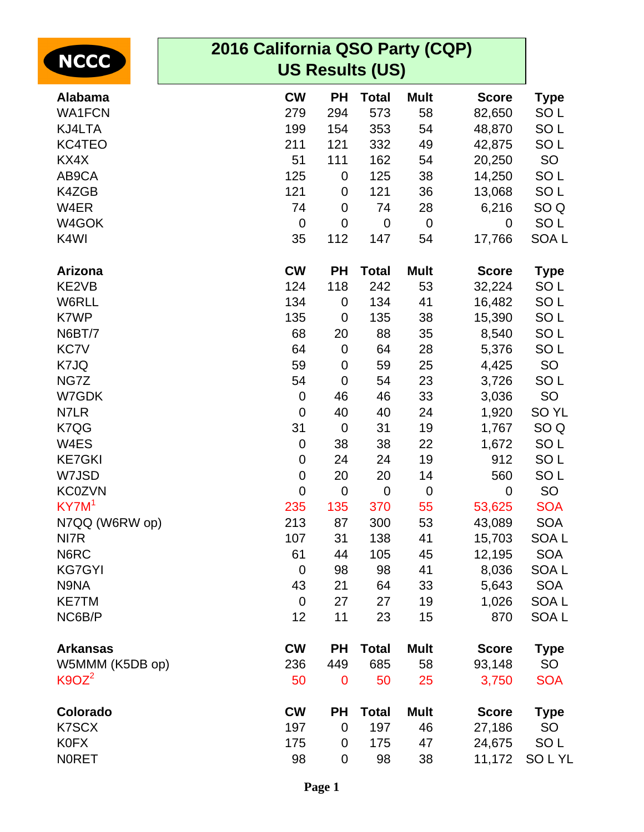| <b>NCCC</b>       | 2016 California QSO Party (CQP)<br><b>US Results (US)</b> |                  |              |             |              |                  |  |
|-------------------|-----------------------------------------------------------|------------------|--------------|-------------|--------------|------------------|--|
|                   |                                                           |                  |              |             |              |                  |  |
| <b>Alabama</b>    | <b>CW</b>                                                 | <b>PH</b>        | <b>Total</b> | <b>Mult</b> | <b>Score</b> | <b>Type</b>      |  |
| <b>WA1FCN</b>     | 279                                                       | 294              | 573          | 58          | 82,650       | SO <sub>L</sub>  |  |
| KJ4LTA            | 199                                                       | 154              | 353          | 54          | 48,870       | SO <sub>L</sub>  |  |
| KC4TEO            | 211                                                       | 121              | 332          | 49          | 42,875       | SO <sub>L</sub>  |  |
| KX4X              | 51                                                        | 111              | 162          | 54          | 20,250       | <b>SO</b>        |  |
| AB9CA             | 125                                                       | $\mathbf 0$      | 125          | 38          | 14,250       | SO <sub>L</sub>  |  |
| K4ZGB             | 121                                                       | $\mathbf 0$      | 121          | 36          | 13,068       | SO <sub>L</sub>  |  |
| W4ER              | 74                                                        | $\mathbf 0$      | 74           | 28          | 6,216        | SO <sub>Q</sub>  |  |
| W4GOK             | $\mathbf 0$                                               | $\overline{0}$   | $\mathbf 0$  | $\mathbf 0$ | 0            | SO <sub>L</sub>  |  |
| K4WI              | 35                                                        | 112              | 147          | 54          | 17,766       | SOA <sub>L</sub> |  |
| <b>Arizona</b>    | <b>CW</b>                                                 | <b>PH</b>        | <b>Total</b> | <b>Mult</b> | <b>Score</b> | <b>Type</b>      |  |
| KE2VB             | 124                                                       | 118              | 242          | 53          | 32,224       | SO <sub>L</sub>  |  |
| W6RLL             | 134                                                       | $\mathbf 0$      | 134          | 41          | 16,482       | SO <sub>L</sub>  |  |
| K7WP              | 135                                                       | $\mathbf 0$      | 135          | 38          | 15,390       | SO <sub>L</sub>  |  |
| N6BT/7            | 68                                                        | 20               | 88           | 35          | 8,540        | SO <sub>L</sub>  |  |
| <b>KC7V</b>       | 64                                                        | $\boldsymbol{0}$ | 64           | 28          | 5,376        | SO <sub>L</sub>  |  |
| K7JQ              | 59                                                        | $\boldsymbol{0}$ | 59           | 25          | 4,425        | <b>SO</b>        |  |
| NG7Z              | 54                                                        | $\mathbf 0$      | 54           | 23          | 3,726        | SO <sub>L</sub>  |  |
| W7GDK             | $\mathbf 0$                                               | 46               | 46           | 33          | 3,036        | <b>SO</b>        |  |
| N7LR              | $\boldsymbol{0}$                                          | 40               | 40           | 24          | 1,920        | SO <sub>YL</sub> |  |
| K7QG              | 31                                                        | $\mathbf 0$      | 31           | 19          | 1,767        | SO <sub>Q</sub>  |  |
| W4ES              | 0                                                         | 38               | 38           | 22          | 1,672        | SO <sub>L</sub>  |  |
| <b>KE7GKI</b>     | 0                                                         | 24               | 24           | 19          | 912          | SO <sub>L</sub>  |  |
| W7JSD             | $\pmb{0}$                                                 | 20               | 20           | 14          | 560          | SO <sub>L</sub>  |  |
| <b>KC0ZVN</b>     | $\mathbf 0$                                               | $\mathbf 0$      | $\mathbf 0$  | $\mathbf 0$ | $\mathbf 0$  | <b>SO</b>        |  |
| KY7M <sup>1</sup> | 235                                                       | 135              | 370          | 55          | 53,625       | <b>SOA</b>       |  |
| N7QQ (W6RW op)    | 213                                                       | 87               | 300          | 53          | 43,089       | <b>SOA</b>       |  |
| NI7R              | 107                                                       | 31               | 138          | 41          | 15,703       | SOA L            |  |
| N6RC              | 61                                                        | 44               | 105          | 45          | 12,195       | <b>SOA</b>       |  |
| <b>KG7GYI</b>     | $\mathbf 0$                                               | 98               | 98           | 41          | 8,036        | <b>SOAL</b>      |  |
| N9NA              | 43                                                        | 21               | 64           | 33          | 5,643        | <b>SOA</b>       |  |
| <b>KE7TM</b>      | $\mathbf 0$                                               | 27               | 27           | 19          | 1,026        | <b>SOAL</b>      |  |
| NC6B/P            | 12                                                        | 11               | 23           | 15          | 870          | <b>SOAL</b>      |  |
| <b>Arkansas</b>   | <b>CW</b>                                                 | <b>PH</b>        | <b>Total</b> | <b>Mult</b> | <b>Score</b> | <b>Type</b>      |  |
| W5MMM (K5DB op)   | 236                                                       | 449              | 685          | 58          | 93,148       | <b>SO</b>        |  |
| $K9OZ^2$          | 50                                                        | $\mathbf 0$      | 50           | 25          | 3,750        | <b>SOA</b>       |  |
| Colorado          | <b>CW</b>                                                 | <b>PH</b>        | <b>Total</b> | <b>Mult</b> | <b>Score</b> | <b>Type</b>      |  |
| <b>K7SCX</b>      | 197                                                       | $\mathbf 0$      | 197          | 46          | 27,186       | <b>SO</b>        |  |
| <b>K0FX</b>       | 175                                                       | 0                | 175          | 47          | 24,675       | SO <sub>L</sub>  |  |
| <b>NORET</b>      | 98                                                        | 0                | 98           | 38          | 11,172       | SOLYL            |  |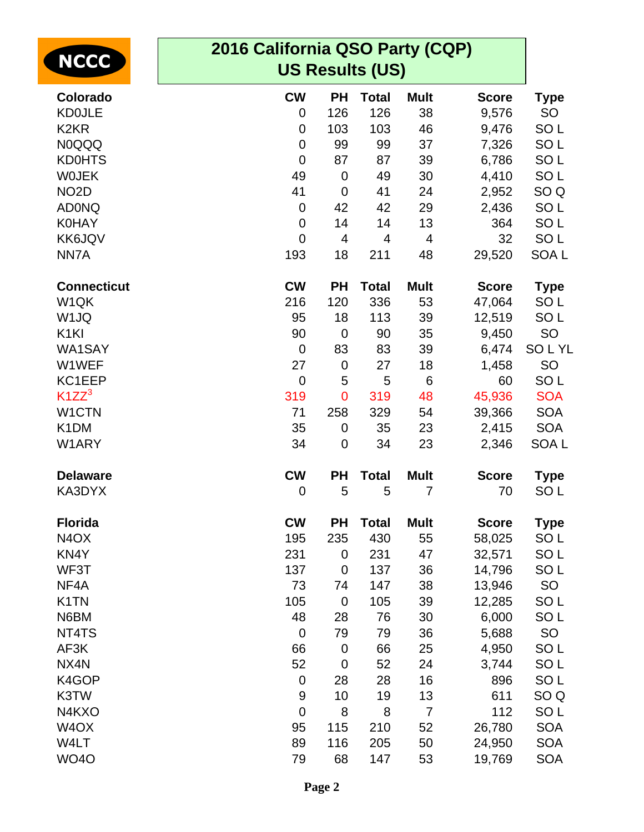| <b>NCCC</b>                   | 2016 California QSO Party (CQP) |                        |              |                |              |                  |  |  |  |
|-------------------------------|---------------------------------|------------------------|--------------|----------------|--------------|------------------|--|--|--|
|                               |                                 | <b>US Results (US)</b> |              |                |              |                  |  |  |  |
| Colorado                      | <b>CW</b>                       | <b>PH</b>              | <b>Total</b> | <b>Mult</b>    | <b>Score</b> | <b>Type</b>      |  |  |  |
| <b>KD0JLE</b>                 | $\mathbf 0$                     | 126                    | 126          | 38             | 9,576        | <b>SO</b>        |  |  |  |
| K <sub>2</sub> KR             | $\overline{0}$                  | 103                    | 103          | 46             | 9,476        | SO <sub>L</sub>  |  |  |  |
| <b>N0QQQ</b>                  | $\mathbf 0$                     | 99                     | 99           | 37             | 7,326        | SO <sub>L</sub>  |  |  |  |
| <b>KD0HTS</b>                 | $\mathbf 0$                     | 87                     | 87           | 39             | 6,786        | SO <sub>L</sub>  |  |  |  |
| <b>WOJEK</b>                  | 49                              | $\mathbf 0$            | 49           | 30             | 4,410        | SO <sub>L</sub>  |  |  |  |
| NO <sub>2</sub> D             | 41                              | $\mathbf 0$            | 41           | 24             | 2,952        | SO <sub>Q</sub>  |  |  |  |
| <b>ADONQ</b>                  | $\mathbf 0$                     | 42                     | 42           | 29             | 2,436        | SO <sub>L</sub>  |  |  |  |
| <b>K0HAY</b>                  | $\mathbf 0$                     | 14                     | 14           | 13             | 364          | SO <sub>L</sub>  |  |  |  |
| <b>KK6JQV</b>                 | $\overline{0}$                  | $\overline{4}$         | 4            | 4              | 32           | SO <sub>L</sub>  |  |  |  |
| NN7A                          | 193                             | 18                     | 211          | 48             | 29,520       | SOA <sub>L</sub> |  |  |  |
| <b>Connecticut</b>            | <b>CW</b>                       | <b>PH</b>              | <b>Total</b> | <b>Mult</b>    | <b>Score</b> | <b>Type</b>      |  |  |  |
| W1QK                          | 216                             | 120                    | 336          | 53             | 47,064       | SO <sub>L</sub>  |  |  |  |
| W <sub>1JQ</sub>              | 95                              | 18                     | 113          | 39             | 12,519       | SO <sub>L</sub>  |  |  |  |
| K <sub>1KI</sub>              | 90                              | $\mathbf 0$            | 90           | 35             | 9,450        | <b>SO</b>        |  |  |  |
| WA1SAY                        | $\mathbf 0$                     | 83                     | 83           | 39             | 6,474        | <b>SOLYL</b>     |  |  |  |
| W1WEF                         | 27                              | $\mathbf 0$            | 27           | 18             | 1,458        | SO               |  |  |  |
| KC1EEP                        | $\overline{0}$                  | 5                      | 5            | 6              | 60           | SO <sub>L</sub>  |  |  |  |
| $K1ZZ^3$                      | 319                             | $\overline{0}$         | 319          | 48             | 45,936       | <b>SOA</b>       |  |  |  |
| W1CTN                         | 71                              | 258                    | 329          | 54             | 39,366       | <b>SOA</b>       |  |  |  |
| K <sub>1</sub> DM             | 35                              | 0                      | 35           | 23             | 2,415        | <b>SOA</b>       |  |  |  |
| W1ARY                         | 34                              | $\mathbf 0$            | 34           | 23             | 2,346        | SOA <sub>L</sub> |  |  |  |
| <b>Delaware</b>               | <b>CW</b>                       | <b>PH</b>              | <b>Total</b> | <b>Mult</b>    | <b>Score</b> | <b>Type</b>      |  |  |  |
| KA3DYX                        | $\mathbf 0$                     | 5                      | 5            | 7              | 70           | SO <sub>L</sub>  |  |  |  |
| <b>Florida</b>                | <b>CW</b>                       | <b>PH</b>              | <b>Total</b> | <b>Mult</b>    | <b>Score</b> | <b>Type</b>      |  |  |  |
| N <sub>4</sub> O <sub>X</sub> | 195                             | 235                    | 430          | 55             | 58,025       | SO <sub>L</sub>  |  |  |  |
| KN4Y                          | 231                             | $\boldsymbol{0}$       | 231          | 47             | 32,571       | SO <sub>L</sub>  |  |  |  |
| WF3T                          | 137                             | $\mathbf 0$            | 137          | 36             | 14,796       | SO <sub>L</sub>  |  |  |  |
| NF4A                          | 73                              | 74                     | 147          | 38             | 13,946       | <b>SO</b>        |  |  |  |
| K <sub>1</sub> TN             | 105                             | $\mathbf 0$            | 105          | 39             | 12,285       | SO <sub>L</sub>  |  |  |  |
| N6BM                          | 48                              | 28                     | 76           | 30             | 6,000        | SO <sub>L</sub>  |  |  |  |
| NT4TS                         | $\mathbf 0$                     | 79                     | 79           | 36             | 5,688        | <b>SO</b>        |  |  |  |
| AF3K                          | 66                              | $\mathbf 0$            | 66           | 25             | 4,950        | SO <sub>L</sub>  |  |  |  |
| NX4N                          | 52                              | $\mathbf 0$            | 52           | 24             | 3,744        | SO <sub>L</sub>  |  |  |  |
| K4GOP                         | $\mathbf 0$                     | 28                     | 28           | 16             | 896          | SO <sub>L</sub>  |  |  |  |
| K3TW                          | $\overline{9}$                  | 10                     | 19           | 13             | 611          | SO <sub>Q</sub>  |  |  |  |
| N4KXO                         | $\mathbf 0$                     | 8                      | 8            | $\overline{7}$ | 112          | SO <sub>L</sub>  |  |  |  |
| W <sub>4</sub> OX             | 95                              | 115                    | 210          | 52             | 26,780       | <b>SOA</b>       |  |  |  |
| W4LT                          | 89                              | 116                    | 205          | 50             | 24,950       | <b>SOA</b>       |  |  |  |
| <b>WO4O</b>                   | 79                              | 68                     | 147          | 53             | 19,769       | <b>SOA</b>       |  |  |  |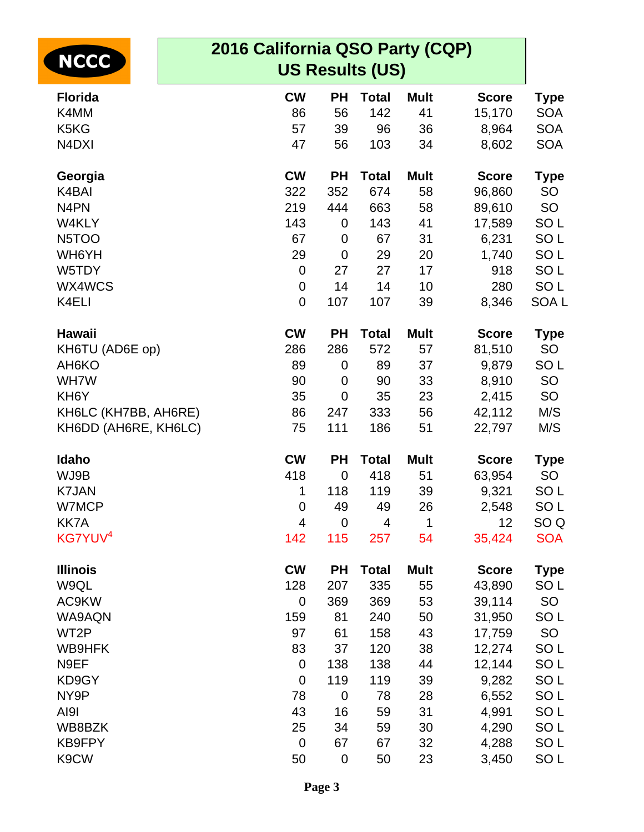| <b>NCCC</b>          | 2016 California QSO Party (CQP)<br><b>US Results (US)</b> |             |              |             |              |                  |
|----------------------|-----------------------------------------------------------|-------------|--------------|-------------|--------------|------------------|
| <b>Florida</b>       | <b>CW</b>                                                 | <b>PH</b>   | <b>Total</b> | <b>Mult</b> | <b>Score</b> | <b>Type</b>      |
| K4MM                 | 86                                                        | 56          | 142          | 41          | 15,170       | <b>SOA</b>       |
| K5KG                 | 57                                                        | 39          | 96           | 36          | 8,964        | <b>SOA</b>       |
| N4DXI                | 47                                                        | 56          | 103          | 34          | 8,602        | <b>SOA</b>       |
| Georgia              | <b>CW</b>                                                 | <b>PH</b>   | <b>Total</b> | <b>Mult</b> | <b>Score</b> | Type             |
| K4BAI                | 322                                                       | 352         | 674          | 58          | 96,860       | <b>SO</b>        |
| N <sub>4</sub> PN    | 219                                                       | 444         | 663          | 58          | 89,610       | <b>SO</b>        |
| W4KLY                | 143                                                       | 0           | 143          | 41          | 17,589       | SO <sub>L</sub>  |
| N <sub>5</sub> TOO   | 67                                                        | 0           | 67           | 31          | 6,231        | SO <sub>L</sub>  |
| WH6YH                | 29                                                        | 0           | 29           | 20          | 1,740        | SO <sub>L</sub>  |
| W5TDY                | $\mathbf 0$                                               | 27          | 27           | 17          | 918          | SO <sub>L</sub>  |
| WX4WCS               | $\mathbf 0$                                               | 14          | 14           | 10          | 280          | SO <sub>L</sub>  |
| K4ELI                | $\mathbf 0$                                               | 107         | 107          | 39          | 8,346        | SOA <sub>L</sub> |
| Hawaii               | <b>CW</b>                                                 | <b>PH</b>   | <b>Total</b> | <b>Mult</b> | <b>Score</b> | Type             |
| KH6TU (AD6E op)      | 286                                                       | 286         | 572          | 57          | 81,510       | SO               |
| AH <sub>6</sub> KO   | 89                                                        | 0           | 89           | 37          | 9,879        | SO <sub>L</sub>  |
| WH7W                 | 90                                                        | 0           | 90           | 33          | 8,910        | SO               |
| KH <sub>6</sub> Y    | 35                                                        | 0           | 35           | 23          | 2,415        | <b>SO</b>        |
| KH6LC (KH7BB, AH6RE) | 86                                                        | 247         | 333          | 56          | 42,112       | M/S              |
| KH6DD (AH6RE, KH6LC) | 75                                                        | 111         | 186          | 51          | 22,797       | M/S              |
| Idaho                | <b>CW</b>                                                 | <b>PH</b>   | <b>Total</b> | <b>Mult</b> | <b>Score</b> | Type             |
| WJ9B                 | 418                                                       | $\mathbf 0$ | 418          | 51          | 63,954       | SO               |
| <b>K7JAN</b>         | 1                                                         | 118         | 119          | 39          | 9,321        | SO <sub>L</sub>  |
| W7MCP                | 0                                                         | 49          | 49           | 26          | 2,548        | SO <sub>L</sub>  |
| KK7A                 | 4                                                         | $\mathbf 0$ | 4            | 1           | 12           | SO <sub>Q</sub>  |
| KG7YUV <sup>4</sup>  | 142                                                       | 115         | 257          | 54          | 35,424       | <b>SOA</b>       |
| <b>Illinois</b>      | <b>CW</b>                                                 | <b>PH</b>   | <b>Total</b> | <b>Mult</b> | <b>Score</b> | <b>Type</b>      |
| W9QL                 | 128                                                       | 207         | 335          | 55          | 43,890       | SO <sub>L</sub>  |
| AC9KW                | $\mathbf 0$                                               | 369         | 369          | 53          | 39,114       | SO               |
| WA9AQN               | 159                                                       | 81          | 240          | 50          | 31,950       | SO <sub>L</sub>  |
| WT2P                 | 97                                                        | 61          | 158          | 43          | 17,759       | SO               |
| WB9HFK               | 83                                                        | 37          | 120          | 38          | 12,274       | SO <sub>L</sub>  |
| N9EF                 | $\mathbf 0$                                               | 138         | 138          | 44          | 12,144       | SO <sub>L</sub>  |
| KD9GY                | $\mathbf 0$                                               | 119         | 119          | 39          | 9,282        | SO <sub>L</sub>  |
| NY9P                 | 78                                                        | $\mathbf 0$ | 78           | 28          | 6,552        | SO <sub>L</sub>  |
| AI9I                 | 43                                                        | 16          | 59           | 31          | 4,991        | SO <sub>L</sub>  |
| WB8BZK               | 25                                                        | 34          | 59           | 30          | 4,290        | SO <sub>L</sub>  |
| <b>KB9FPY</b>        | $\mathbf 0$                                               | 67          | 67           | 32          | 4,288        | SO <sub>L</sub>  |
| K9CW                 | 50                                                        | 0           | 50           | 23          | 3,450        | SO <sub>L</sub>  |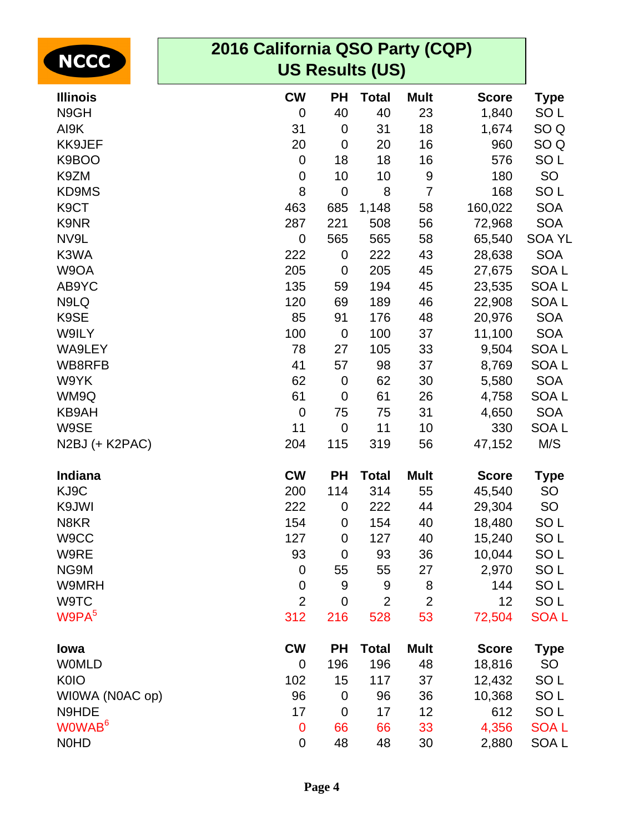| <b>NCCC</b>        | 2016 California QSO Party (CQP)<br><b>US Results (US)</b> |                  |                |                |              |                  |  |
|--------------------|-----------------------------------------------------------|------------------|----------------|----------------|--------------|------------------|--|
| <b>Illinois</b>    | <b>CW</b>                                                 | <b>PH</b>        | <b>Total</b>   | <b>Mult</b>    | <b>Score</b> | <b>Type</b>      |  |
| N9GH               | 0                                                         | 40               | 40             | 23             | 1,840        | SO <sub>L</sub>  |  |
| AI9K               | 31                                                        | $\mathbf 0$      | 31             | 18             | 1,674        | SO <sub>Q</sub>  |  |
| KK9JEF             | 20                                                        | $\mathbf 0$      | 20             | 16             | 960          | SO <sub>Q</sub>  |  |
| K9BOO              | $\boldsymbol{0}$                                          | 18               | 18             | 16             | 576          | SO <sub>L</sub>  |  |
| K9ZM               | 0                                                         | 10               | 10             | 9              | 180          | <b>SO</b>        |  |
| KD9MS              | 8                                                         | $\mathbf 0$      | 8              | $\overline{7}$ | 168          | SO <sub>L</sub>  |  |
| K <sub>9</sub> CT  | 463                                                       | 685              | 1,148          | 58             | 160,022      | <b>SOA</b>       |  |
| K9NR               | 287                                                       | 221              | 508            | 56             | 72,968       | <b>SOA</b>       |  |
| NV9L               | $\mathbf 0$                                               | 565              | 565            | 58             | 65,540       | <b>SOA YL</b>    |  |
| K3WA               | 222                                                       | $\mathbf 0$      | 222            | 43             | 28,638       | <b>SOA</b>       |  |
| W9OA               | 205                                                       | $\mathbf 0$      | 205            | 45             | 27,675       | SOA <sub>L</sub> |  |
| AB9YC              | 135                                                       | 59               | 194            | 45             | 23,535       | SOA <sub>L</sub> |  |
| N9LQ               | 120                                                       | 69               | 189            | 46             | 22,908       | <b>SOAL</b>      |  |
| K9SE               | 85                                                        | 91               | 176            | 48             | 20,976       | <b>SOA</b>       |  |
| W9ILY              | 100                                                       | $\mathbf 0$      | 100            | 37             | 11,100       | <b>SOA</b>       |  |
| WA9LEY             | 78                                                        | 27               | 105            | 33             | 9,504        | SOA <sub>L</sub> |  |
| WB8RFB             | 41                                                        | 57               | 98             | 37             | 8,769        | SOA <sub>L</sub> |  |
| W9YK               | 62                                                        | $\mathbf 0$      | 62             | 30             | 5,580        | <b>SOA</b>       |  |
| WM9Q               | 61                                                        | $\mathbf 0$      | 61             | 26             | 4,758        | SOA <sub>L</sub> |  |
| KB9AH              | $\mathbf 0$                                               | 75               | 75             | 31             | 4,650        | <b>SOA</b>       |  |
| W9SE               | 11                                                        | $\mathbf 0$      | 11             | 10             | 330          | SOA <sub>L</sub> |  |
| N2BJ (+ K2PAC)     | 204                                                       | 115              | 319            | 56             | 47,152       | M/S              |  |
|                    |                                                           |                  |                |                |              |                  |  |
| Indiana            | <b>CW</b>                                                 | <b>PH</b>        | <b>Total</b>   | <b>Mult</b>    | <b>Score</b> | <b>Type</b>      |  |
| KJ9C               | 200                                                       | 114              | 314            | 55             | 45,540       | <b>SO</b>        |  |
| K9JWI              | 222                                                       | 0                | 222            | 44             | 29,304       | SO               |  |
| N8KR               | 154                                                       | $\boldsymbol{0}$ | 154            | 40             | 18,480       | SO <sub>L</sub>  |  |
| W9CC               | 127                                                       | 0                | 127            | 40             | 15,240       | SO <sub>L</sub>  |  |
| W9RE               | 93                                                        | $\mathbf 0$      | 93             | 36             | 10,044       | SO <sub>L</sub>  |  |
| NG9M               | $\boldsymbol{0}$                                          | 55               | 55             | 27             | 2,970        | SO <sub>L</sub>  |  |
| W9MRH              | $\boldsymbol{0}$                                          | 9                | 9              | 8              | 144          | SO <sub>L</sub>  |  |
| W9TC               | $\overline{2}$                                            | $\mathbf 0$      | $\overline{2}$ | $\overline{2}$ | 12           | SO <sub>L</sub>  |  |
| W9PA <sup>5</sup>  | 312                                                       | 216              | 528            | 53             | 72,504       | <b>SOAL</b>      |  |
| lowa               | <b>CW</b>                                                 | <b>PH</b>        | <b>Total</b>   | <b>Mult</b>    | <b>Score</b> | <b>Type</b>      |  |
| <b>WOMLD</b>       | 0                                                         | 196              | 196            | 48             | 18,816       | <b>SO</b>        |  |
| <b>K0IO</b>        | 102                                                       | 15               | 117            | 37             | 12,432       | SO <sub>L</sub>  |  |
| WIOWA (NOAC op)    | 96                                                        | $\mathbf 0$      | 96             | 36             | 10,368       | SO <sub>L</sub>  |  |
| N9HDE              | 17                                                        | $\mathbf 0$      | 17             | 12             | 612          | SO <sub>L</sub>  |  |
| WOWAB <sup>6</sup> | $\mathbf 0$                                               | 66               | 66             | 33             | 4,356        | <b>SOAL</b>      |  |
| <b>NOHD</b>        | $\mathbf 0$                                               | 48               | 48             | 30             | 2,880        | SOA L            |  |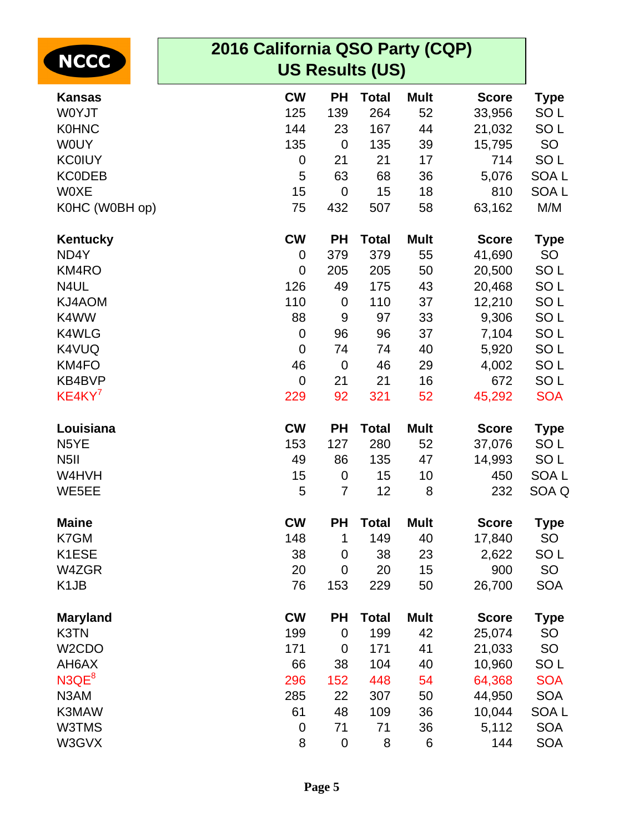| <b>NCCC</b>                   | 2016 California QSO Party (CQP)<br><b>US Results (US)</b> |             |              |             |              |                  |
|-------------------------------|-----------------------------------------------------------|-------------|--------------|-------------|--------------|------------------|
| <b>Kansas</b>                 | <b>CW</b>                                                 | <b>PH</b>   | <b>Total</b> | <b>Mult</b> | <b>Score</b> | <b>Type</b>      |
| W0YJT                         | 125                                                       | 139         | 264          | 52          | 33,956       | SO <sub>L</sub>  |
| <b>K0HNC</b>                  | 144                                                       | 23          | 167          | 44          | 21,032       | SO <sub>L</sub>  |
| <b>WOUY</b>                   | 135                                                       | $\mathbf 0$ | 135          | 39          | 15,795       | SO               |
| <b>KC0IUY</b>                 | $\pmb{0}$                                                 | 21          | 21           | 17          | 714          | SO <sub>L</sub>  |
| <b>KCODEB</b>                 | 5                                                         | 63          | 68           | 36          | 5,076        | SOA <sub>L</sub> |
| <b>WOXE</b>                   | 15                                                        | $\mathbf 0$ | 15           | 18          | 810          | SOA <sub>L</sub> |
| K0HC (W0BH op)                | 75                                                        | 432         | 507          | 58          | 63,162       | M/M              |
| Kentucky                      | <b>CW</b>                                                 | <b>PH</b>   | <b>Total</b> | <b>Mult</b> | <b>Score</b> | <b>Type</b>      |
| ND4Y                          | $\mathbf 0$                                               | 379         | 379          | 55          | 41,690       | SO               |
| KM4RO                         | $\mathbf 0$                                               | 205         | 205          | 50          | 20,500       | SO <sub>L</sub>  |
| N4UL                          | 126                                                       | 49          | 175          | 43          | 20,468       | SO <sub>L</sub>  |
| KJ4AOM                        | 110                                                       | $\mathbf 0$ | 110          | 37          | 12,210       | SO <sub>L</sub>  |
| K4WW                          | 88                                                        | 9           | 97           | 33          | 9,306        | SO <sub>L</sub>  |
| K4WLG                         | $\mathbf 0$                                               | 96          | 96           | 37          | 7,104        | SO <sub>L</sub>  |
| K4VUQ                         | $\mathbf 0$                                               | 74          | 74           | 40          | 5,920        | SO <sub>L</sub>  |
| KM4FO                         | 46                                                        | $\mathbf 0$ | 46           | 29          | 4,002        | SO <sub>L</sub>  |
| KB4BVP                        | $\mathbf 0$                                               | 21          | 21           | 16          | 672          | SO <sub>L</sub>  |
| KE4KY <sup>7</sup>            | 229                                                       | 92          | 321          | 52          | 45,292       | <b>SOA</b>       |
| Louisiana                     | <b>CW</b>                                                 | <b>PH</b>   | <b>Total</b> | <b>Mult</b> | <b>Score</b> | <b>Type</b>      |
| N <sub>5</sub> YE             | 153                                                       | 127         | 280          | 52          | 37,076       | SO <sub>L</sub>  |
| N <sub>5</sub> II             | 49                                                        | 86          | 135          | 47          | 14,993       | SO <sub>L</sub>  |
| W4HVH                         | 15                                                        | 0           | 15           | 10          | 450          | SOA <sub>L</sub> |
| WE5EE                         | 5                                                         | 7           | 12           | 8           | 232          | SOA Q            |
| <b>Maine</b>                  | <b>CW</b>                                                 | <b>PH</b>   | <b>Total</b> | <b>Mult</b> | <b>Score</b> | Type             |
| K7GM                          | 148                                                       | 1           | 149          | 40          | 17,840       | <b>SO</b>        |
| K1ESE                         | 38                                                        | $\mathbf 0$ | 38           | 23          | 2,622        | SO <sub>L</sub>  |
| W4ZGR                         | 20                                                        | $\mathbf 0$ | 20           | 15          | 900          | SO               |
| K <sub>1</sub> J <sub>B</sub> | 76                                                        | 153         | 229          | 50          | 26,700       | <b>SOA</b>       |
| <b>Maryland</b>               | <b>CW</b>                                                 | <b>PH</b>   | <b>Total</b> | <b>Mult</b> | <b>Score</b> | Type             |
| K3TN                          | 199                                                       | $\mathbf 0$ | 199          | 42          | 25,074       | <b>SO</b>        |
| W <sub>2</sub> CDO            | 171                                                       | $\mathbf 0$ | 171          | 41          | 21,033       | <b>SO</b>        |
| AH6AX                         | 66                                                        | 38          | 104          | 40          | 10,960       | SO <sub>L</sub>  |
| N3QE <sup>8</sup>             | 296                                                       | 152         | 448          | 54          | 64,368       | <b>SOA</b>       |
| N3AM                          | 285                                                       | 22          | 307          | 50          | 44,950       | <b>SOA</b>       |
| K3MAW                         | 61                                                        | 48          | 109          | 36          | 10,044       | SOA <sub>L</sub> |
| W3TMS                         | $\boldsymbol{0}$                                          | 71          | 71           | 36          | 5,112        | <b>SOA</b>       |
| W3GVX                         | 8                                                         | $\pmb{0}$   | 8            | 6           | 144          | <b>SOA</b>       |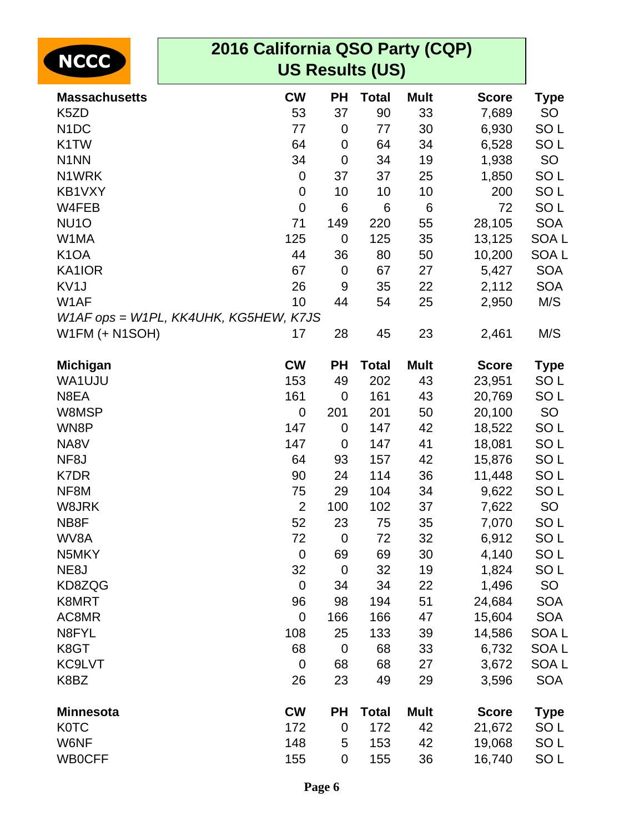| <b>NCCC</b>           | 2016 California QSO Party (CQP)<br><b>US Results (US)</b> |             |              |             |              |                  |
|-----------------------|-----------------------------------------------------------|-------------|--------------|-------------|--------------|------------------|
| <b>Massachusetts</b>  | <b>CW</b>                                                 | <b>PH</b>   | <b>Total</b> | <b>Mult</b> | <b>Score</b> | <b>Type</b>      |
| K <sub>5</sub> ZD     | 53                                                        | 37          | 90           | 33          | 7,689        | <b>SO</b>        |
| N <sub>1</sub> DC     | 77                                                        | 0           | 77           | 30          | 6,930        | SO <sub>L</sub>  |
| K <sub>1</sub> TW     | 64                                                        | 0           | 64           | 34          | 6,528        | SO <sub>L</sub>  |
| N <sub>1</sub> NN     | 34                                                        | 0           | 34           | 19          | 1,938        | <b>SO</b>        |
| N1WRK                 | $\boldsymbol{0}$                                          | 37          | 37           | 25          | 1,850        | SO <sub>L</sub>  |
| KB1VXY                | $\mathbf 0$                                               | 10          | 10           | 10          | 200          | SO <sub>L</sub>  |
| W4FEB                 | $\mathbf 0$                                               | 6           | 6            | 6           | 72           | SO <sub>L</sub>  |
| NU <sub>10</sub>      | 71                                                        | 149         | 220          | 55          | 28,105       | <b>SOA</b>       |
| W1MA                  | 125                                                       | $\mathbf 0$ | 125          | 35          | 13,125       | SOA <sub>L</sub> |
| K <sub>1</sub> OA     | 44                                                        | 36          | 80           | 50          | 10,200       | SOA <sub>L</sub> |
| KA1IOR                | 67                                                        | $\mathbf 0$ | 67           | 27          | 5,427        | <b>SOA</b>       |
| KV <sub>1</sub> J     | 26                                                        | 9           | 35           | 22          | 2,112        | <b>SOA</b>       |
| W1AF                  | 10                                                        | 44          | 54           | 25          | 2,950        | M/S              |
|                       | W1AF ops = W1PL, KK4UHK, KG5HEW, K7JS                     |             |              |             |              |                  |
| <b>W1FM (+ N1SOH)</b> | 17                                                        | 28          | 45           | 23          | 2,461        | M/S              |
| <b>Michigan</b>       | <b>CW</b>                                                 | <b>PH</b>   | <b>Total</b> | <b>Mult</b> | <b>Score</b> | Type             |
| WA1UJU                | 153                                                       | 49          | 202          | 43          | 23,951       | SO <sub>L</sub>  |
| N8EA                  | 161                                                       | $\mathbf 0$ | 161          | 43          | 20,769       | SO <sub>L</sub>  |
| W8MSP                 | $\mathbf 0$                                               | 201         | 201          | 50          | 20,100       | SO               |
| WN8P                  | 147                                                       | 0           | 147          | 42          | 18,522       | SO <sub>L</sub>  |
| NA8V                  | 147                                                       | 0           | 147          | 41          | 18,081       | SO <sub>L</sub>  |
| NF8J                  | 64                                                        | 93          | 157          | 42          | 15,876       | SO <sub>L</sub>  |
| K7DR                  | 90                                                        | 24          | 114          | 36          | 11,448       | SO <sub>L</sub>  |
| NF8M                  | 75                                                        | 29          | 104          | 34          | 9,622        | SO <sub>L</sub>  |
| W8JRK                 | $\overline{2}$                                            | 100         | 102          | 37          | 7,622        | <b>SO</b>        |
| NB8F                  | 52                                                        | 23          | 75           | 35          | 7,070        | SO <sub>L</sub>  |
| WV8A                  | 72                                                        | $\mathbf 0$ | 72           | 32          | 6,912        | SO <sub>L</sub>  |
| N5MKY                 | $\mathbf 0$                                               | 69          | 69           | 30          | 4,140        | SO <sub>L</sub>  |
| NE8J                  | 32                                                        | $\mathbf 0$ | 32           | 19          | 1,824        | SO <sub>L</sub>  |
| KD8ZQG                | $\mathbf 0$                                               | 34          | 34           | 22          | 1,496        | SO               |
| K8MRT                 | 96                                                        | 98          | 194          | 51          | 24,684       | <b>SOA</b>       |
| AC8MR                 | $\mathbf 0$                                               | 166         | 166          | 47          | 15,604       | <b>SOA</b>       |
| N8FYL                 | 108                                                       | 25          | 133          | 39          | 14,586       | SOA L            |
| K8GT                  | 68                                                        | $\mathbf 0$ | 68           | 33          | 6,732        | SOA L            |
| KC9LVT                | $\mathbf 0$                                               | 68          | 68           | 27          | 3,672        | SOA <sub>L</sub> |
| K8BZ                  | 26                                                        | 23          | 49           | 29          | 3,596        | <b>SOA</b>       |
| <b>Minnesota</b>      | <b>CW</b>                                                 | <b>PH</b>   | <b>Total</b> | <b>Mult</b> | <b>Score</b> | <b>Type</b>      |
| <b>K0TC</b>           | 172                                                       | $\mathbf 0$ | 172          | 42          | 21,672       | SO <sub>L</sub>  |
| W6NF                  | 148                                                       | 5           | 153          | 42          | 19,068       | SO <sub>L</sub>  |
| <b>WB0CFF</b>         | 155                                                       | 0           | 155          | 36          | 16,740       | SO L             |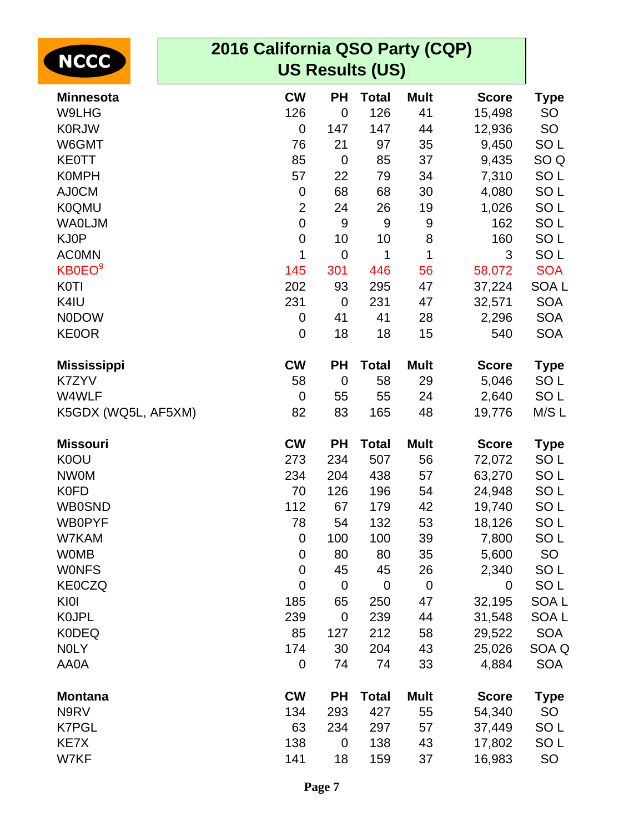| <b>NCCC</b>         | 2016 California QSO Party (CQP)<br><b>US Results (US)</b> |             |                |             |              |                  |
|---------------------|-----------------------------------------------------------|-------------|----------------|-------------|--------------|------------------|
| <b>Minnesota</b>    | <b>CW</b>                                                 | <b>PH</b>   | <b>Total</b>   | <b>Mult</b> | <b>Score</b> | <b>Type</b>      |
| W9LHG               | 126                                                       | $\mathbf 0$ | 126            | 41          | 15,498       | <b>SO</b>        |
| <b>K0RJW</b>        | $\mathbf 0$                                               | 147         | 147            | 44          | 12,936       | <b>SO</b>        |
| W6GMT               | 76                                                        | 21          | 97             | 35          | 9,450        | SO <sub>L</sub>  |
| <b>KE0TT</b>        | 85                                                        | $\mathbf 0$ | 85             | 37          | 9,435        | SO <sub>Q</sub>  |
| <b>K0MPH</b>        | 57                                                        | 22          | 79             | 34          | 7,310        | SO <sub>L</sub>  |
| AJ0CM               | $\mathbf 0$                                               | 68          | 68             | 30          | 4,080        | SO <sub>L</sub>  |
| <b>K0QMU</b>        | $\overline{2}$                                            | 24          | 26             | 19          | 1,026        | SO <sub>L</sub>  |
| <b>WAOLJM</b>       | $\mathbf 0$                                               | 9           | 9              | 9           | 162          | SO <sub>L</sub>  |
| KJ0P                | $\mathbf 0$                                               | 10          | 10             | 8           | 160          | SO <sub>L</sub>  |
| <b>ACOMN</b>        | 1                                                         | $\mathbf 0$ | 1              | 1           | 3            | SO <sub>L</sub>  |
| KB0EO <sup>9</sup>  | 145                                                       | 301         | 446            | 56          | 58,072       | <b>SOA</b>       |
| <b>K0TI</b>         | 202                                                       | 93          | 295            | 47          | 37,224       | SOA <sub>L</sub> |
| K4IU                | 231                                                       | $\mathbf 0$ | 231            | 47          | 32,571       | <b>SOA</b>       |
| <b>NODOW</b>        | 0                                                         | 41          | 41             | 28          | 2,296        | <b>SOA</b>       |
| <b>KE0OR</b>        | 0                                                         | 18          | 18             | 15          | 540          | <b>SOA</b>       |
| <b>Mississippi</b>  | <b>CW</b>                                                 | <b>PH</b>   | <b>Total</b>   | <b>Mult</b> | <b>Score</b> | <b>Type</b>      |
| K7ZYV               | 58                                                        | $\mathbf 0$ | 58             | 29          | 5,046        | SO <sub>L</sub>  |
| W4WLF               | $\mathbf 0$                                               | 55          | 55             | 24          | 2,640        | SO <sub>L</sub>  |
| K5GDX (WQ5L, AF5XM) | 82                                                        | 83          | 165            | 48          | 19,776       | M/S L            |
| <b>Missouri</b>     | <b>CW</b>                                                 | <b>PH</b>   | <b>Total</b>   | <b>Mult</b> | <b>Score</b> | <b>Type</b>      |
| K0OU                | 273                                                       | 234         | 507            | 56          | 72,072       | SO <sub>L</sub>  |
| <b>NW0M</b>         | 234                                                       | 204         | 438            | 57          | 63,270       | SO <sub>L</sub>  |
| <b>K0FD</b>         | 70                                                        | 126         | 196            | 54          | 24,948       | SO <sub>L</sub>  |
| <b>WB0SND</b>       | 112                                                       | 67          | 179            | 42          | 19,740       | SO <sub>L</sub>  |
| <b>WB0PYF</b>       | 78                                                        | 54          | 132            | 53          | 18,126       | SO <sub>L</sub>  |
| W7KAM               | $\mathbf 0$                                               | 100         | 100            | 39          | 7,800        | SO <sub>L</sub>  |
| <b>WOMB</b>         | 0                                                         | 80          | 80             | 35          | 5,600        | <b>SO</b>        |
| <b>WONFS</b>        | $\mathbf 0$                                               | 45          | 45             | 26          | 2,340        | SO <sub>L</sub>  |
| <b>KE0CZQ</b>       | $\mathbf 0$                                               | $\mathbf 0$ | $\overline{0}$ | $\mathbf 0$ | 0            | SO <sub>L</sub>  |
| KI0I                | 185                                                       | 65          | 250            | 47          | 32,195       | SOA <sub>L</sub> |
| <b>KOJPL</b>        | 239                                                       | $\mathbf 0$ | 239            | 44          | 31,548       | SOA L            |
| <b>K0DEQ</b>        | 85                                                        | 127         | 212            | 58          | 29,522       | <b>SOA</b>       |
| <b>NOLY</b>         | 174                                                       | 30          | 204            | 43          | 25,026       | SOA Q            |
| AA0A                | $\mathbf 0$                                               | 74          | 74             | 33          | 4,884        | <b>SOA</b>       |
| <b>Montana</b>      | <b>CW</b>                                                 | <b>PH</b>   | <b>Total</b>   | <b>Mult</b> | <b>Score</b> | Type             |
| N9RV                | 134                                                       | 293         | 427            | 55          | 54,340       | <b>SO</b>        |
| <b>K7PGL</b>        | 63                                                        | 234         | 297            | 57          | 37,449       | SO <sub>L</sub>  |
| KE7X                | 138                                                       | $\mathbf 0$ | 138            | 43          | 17,802       | SO <sub>L</sub>  |
| W7KF                | 141                                                       | 18          | 159            | 37          | 16,983       | SO               |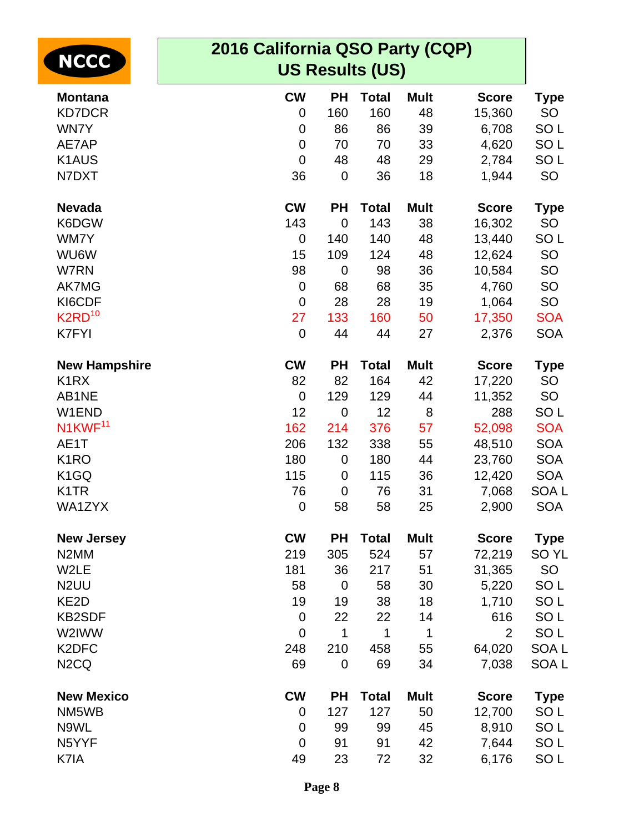| <b>NCCC</b>                   | 2016 California QSO Party (CQP) |                  |              |             |                |                  |  |  |
|-------------------------------|---------------------------------|------------------|--------------|-------------|----------------|------------------|--|--|
|                               | <b>US Results (US)</b>          |                  |              |             |                |                  |  |  |
| <b>Montana</b>                | <b>CW</b>                       | <b>PH</b>        | <b>Total</b> | <b>Mult</b> | <b>Score</b>   | <b>Type</b>      |  |  |
| <b>KD7DCR</b>                 | 0                               | 160              | 160          | 48          | 15,360         | <b>SO</b>        |  |  |
| WN7Y                          | 0                               | 86               | 86           | 39          | 6,708          | SO <sub>L</sub>  |  |  |
| AE7AP                         | 0                               | 70               | 70           | 33          | 4,620          | SO <sub>L</sub>  |  |  |
| K <sub>1</sub> AUS            | $\mathbf 0$                     | 48               | 48           | 29          | 2,784          | SO <sub>L</sub>  |  |  |
| N7DXT                         | 36                              | $\mathbf 0$      | 36           | 18          | 1,944          | <b>SO</b>        |  |  |
| <b>Nevada</b>                 | <b>CW</b>                       | PH               | <b>Total</b> | <b>Mult</b> | <b>Score</b>   | <b>Type</b>      |  |  |
| K6DGW                         | 143                             | $\mathbf 0$      | 143          | 38          | 16,302         | <b>SO</b>        |  |  |
| WM7Y                          | 0                               | 140              | 140          | 48          | 13,440         | SO <sub>L</sub>  |  |  |
| WU6W                          | 15                              | 109              | 124          | 48          | 12,624         | SO               |  |  |
| W7RN                          | 98                              | $\mathbf 0$      | 98           | 36          | 10,584         | <b>SO</b>        |  |  |
| <b>AK7MG</b>                  | 0                               | 68               | 68           | 35          | 4,760          | <b>SO</b>        |  |  |
| KI6CDF                        | 0                               | 28               | 28           | 19          | 1,064          | <b>SO</b>        |  |  |
| $K2RD^{10}$                   | 27                              | 133              | 160          | 50          | 17,350         | <b>SOA</b>       |  |  |
| K7FYI                         | 0                               | 44               | 44           | 27          | 2,376          | <b>SOA</b>       |  |  |
| <b>New Hampshire</b>          | <b>CW</b>                       | PH               | <b>Total</b> | <b>Mult</b> | <b>Score</b>   | <b>Type</b>      |  |  |
| K <sub>1</sub> R <sub>X</sub> | 82                              | 82               | 164          | 42          | 17,220         | <b>SO</b>        |  |  |
| AB1NE                         | $\mathbf 0$                     | 129              | 129          | 44          | 11,352         | SO               |  |  |
| W1END                         | 12                              | $\mathbf 0$      | 12           | 8           | 288            | SO <sub>L</sub>  |  |  |
| N1KWF <sup>11</sup>           | 162                             | 214              | 376          | 57          | 52,098         | <b>SOA</b>       |  |  |
| AE1T                          | 206                             | 132              | 338          | 55          | 48,510         | <b>SOA</b>       |  |  |
| K <sub>1</sub> RO             | 180                             | 0                | 180          | 44          | 23,760         | <b>SOA</b>       |  |  |
| K <sub>1</sub> GQ             | 115                             | 0                | 115          | 36          | 12,420         | <b>SOA</b>       |  |  |
| K <sub>1</sub> TR             | 76                              | $\mathbf 0$      | 76           | 31          | 7,068          | SOA <sub>L</sub> |  |  |
| WA1ZYX                        | $\mathbf 0$                     | 58               | 58           | 25          | 2,900          | <b>SOA</b>       |  |  |
| <b>New Jersey</b>             | <b>CW</b>                       | <b>PH</b>        | <b>Total</b> | <b>Mult</b> | <b>Score</b>   | <b>Type</b>      |  |  |
| N <sub>2</sub> MM             | 219                             | 305              | 524          | 57          | 72,219         | SO <sub>YL</sub> |  |  |
| W2LE                          | 181                             | 36               | 217          | 51          | 31,365         | SO               |  |  |
| N <sub>2</sub> UU             | 58                              | $\boldsymbol{0}$ | 58           | 30          | 5,220          | SO <sub>L</sub>  |  |  |
| KE <sub>2</sub> D             | 19                              | 19               | 38           | 18          | 1,710          | SO <sub>L</sub>  |  |  |
| <b>KB2SDF</b>                 | $\mathbf 0$                     | 22               | 22           | 14          | 616            | SO <sub>L</sub>  |  |  |
| W2IWW                         | $\mathbf 0$                     | 1                | 1            | 1           | $\overline{2}$ | SO <sub>L</sub>  |  |  |
| K <sub>2</sub> DFC            | 248                             | 210              | 458          | 55          | 64,020         | SOA <sub>L</sub> |  |  |
| N <sub>2</sub> CQ             | 69                              | $\mathbf 0$      | 69           | 34          | 7,038          | SOA L            |  |  |
| <b>New Mexico</b>             | <b>CW</b>                       | <b>PH</b>        | <b>Total</b> | <b>Mult</b> | <b>Score</b>   | <b>Type</b>      |  |  |
| NM5WB                         | 0                               | 127              | 127          | 50          | 12,700         | SO <sub>L</sub>  |  |  |
| N9WL                          | 0                               | 99               | 99           | 45          | 8,910          | SO <sub>L</sub>  |  |  |
| N5YYF                         | $\mathbf 0$                     | 91               | 91           | 42          | 7,644          | SO <sub>L</sub>  |  |  |
| K7IA                          | 49                              | 23               | 72           | 32          | 6,176          | SO <sub>L</sub>  |  |  |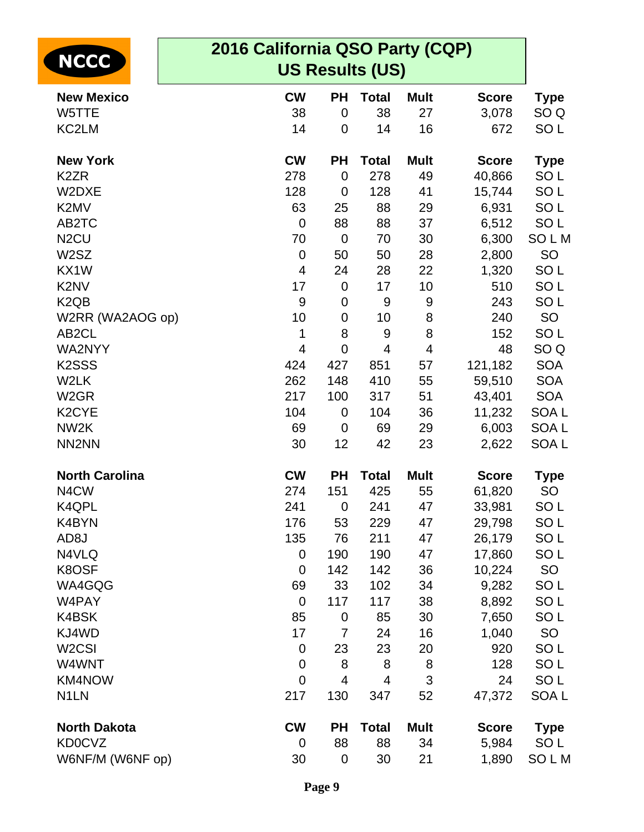|                               | 2016 California QSO Party (CQP) |                  |                        |             |              |                  |  |
|-------------------------------|---------------------------------|------------------|------------------------|-------------|--------------|------------------|--|
| <b>NCCC</b>                   |                                 |                  | <b>US Results (US)</b> |             |              |                  |  |
| <b>New Mexico</b>             | <b>CW</b>                       | <b>PH</b>        | <b>Total</b>           | <b>Mult</b> | <b>Score</b> | <b>Type</b>      |  |
| W5TTE                         | 38                              | $\mathbf 0$      | 38                     | 27          | 3,078        | SO Q             |  |
| KC2LM                         | 14                              | $\mathbf 0$      | 14                     | 16          | 672          | SO <sub>L</sub>  |  |
| <b>New York</b>               | <b>CW</b>                       | <b>PH</b>        | <b>Total</b>           | <b>Mult</b> | <b>Score</b> | <b>Type</b>      |  |
| K <sub>2</sub> ZR             | 278                             | $\mathbf 0$      | 278                    | 49          | 40,866       | SO <sub>L</sub>  |  |
| W2DXE                         | 128                             | $\overline{0}$   | 128                    | 41          | 15,744       | SO <sub>L</sub>  |  |
| K2MV                          | 63                              | 25               | 88                     | 29          | 6,931        | SO <sub>L</sub>  |  |
| AB2TC                         | $\mathbf 0$                     | 88               | 88                     | 37          | 6,512        | SO <sub>L</sub>  |  |
| N <sub>2</sub> CU             | 70                              | $\mathbf 0$      | 70                     | 30          | 6,300        | SOLM             |  |
| W <sub>2</sub> SZ             | $\mathbf 0$                     | 50               | 50                     | 28          | 2,800        | <b>SO</b>        |  |
| KX1W                          | $\overline{4}$                  | 24               | 28                     | 22          | 1,320        | SO <sub>L</sub>  |  |
| K2NV                          | 17                              | $\mathbf 0$      | 17                     | 10          | 510          | SO <sub>L</sub>  |  |
| K <sub>2</sub> Q <sub>B</sub> | 9                               | $\mathbf 0$      | 9                      | 9           | 243          | SO <sub>L</sub>  |  |
| W2RR (WA2AOG op)              | 10                              | 0                | 10                     | 8           | 240          | SO               |  |
| AB <sub>2</sub> CL            | 1                               | 8                | 9                      | 8           | 152          | SO <sub>L</sub>  |  |
| WA2NYY                        | $\overline{4}$                  | $\overline{0}$   | $\overline{4}$         | 4           | 48           | SO <sub>Q</sub>  |  |
| K <sub>2</sub> SSS            | 424                             | 427              | 851                    | 57          | 121,182      | <b>SOA</b>       |  |
| W2LK                          | 262                             | 148              | 410                    | 55          | 59,510       | <b>SOA</b>       |  |
| W <sub>2</sub> GR             | 217                             | 100              | 317                    | 51          | 43,401       | <b>SOA</b>       |  |
| K <sub>2</sub> CYE            | 104                             | 0                | 104                    | 36          | 11,232       | SOA L            |  |
| NW <sub>2</sub> K             | 69                              | $\mathbf 0$      | 69                     | 29          | 6,003        | SOA <sub>L</sub> |  |
| NN <sub>2</sub> NN            | 30                              | 12               | 42                     | 23          | 2,622        | SOA <sub>L</sub> |  |
| <b>North Carolina</b>         | <b>CW</b>                       | <b>PH</b>        | <b>Total</b>           | <b>Mult</b> | <b>Score</b> | <b>Type</b>      |  |
| N4CW                          | 274                             | 151              | 425                    | 55          | 61,820       | SO               |  |
| K4QPL                         | 241                             | $\mathbf 0$      | 241                    | 47          | 33,981       | SO L             |  |
| K4BYN                         | 176                             | 53               | 229                    | 47          | 29,798       | SO <sub>L</sub>  |  |
| AD <sub>8</sub> J             | 135                             | 76               | 211                    | 47          | 26,179       | SO <sub>L</sub>  |  |
| N4VLQ                         | 0                               | 190              | 190                    | 47          | 17,860       | SO <sub>L</sub>  |  |
| K8OSF                         | 0                               | 142              | 142                    | 36          | 10,224       | SO               |  |
| WA4GQG                        | 69                              | 33               | 102                    | 34          | 9,282        | SO <sub>L</sub>  |  |
| W4PAY                         | $\overline{0}$                  | 117              | 117                    | 38          | 8,892        | SO <sub>L</sub>  |  |
| K4BSK                         | 85                              | $\mathbf 0$      | 85                     | 30          | 7,650        | SO <sub>L</sub>  |  |
| KJ4WD                         | 17                              | 7                | 24                     | 16          | 1,040        | <b>SO</b>        |  |
| W <sub>2</sub> CSI            | 0                               | 23               | 23                     | 20          | 920          | SO <sub>L</sub>  |  |
| W4WNT                         | 0                               | 8                | 8                      | 8           | 128          | SO <sub>L</sub>  |  |
| KM4NOW                        | $\mathbf 0$                     | 4                | 4                      | 3           | 24           | SO <sub>L</sub>  |  |
| N <sub>1</sub> LN             | 217                             | 130              | 347                    | 52          | 47,372       | SOA L            |  |
| <b>North Dakota</b>           | <b>CW</b>                       | <b>PH</b>        | <b>Total</b>           | <b>Mult</b> | <b>Score</b> | <b>Type</b>      |  |
| <b>KD0CVZ</b>                 | 0                               | 88               | 88                     | 34          | 5,984        | SO <sub>L</sub>  |  |
| W6NF/M (W6NF op)              | 30                              | $\boldsymbol{0}$ | 30                     | 21          | 1,890        | SOLM             |  |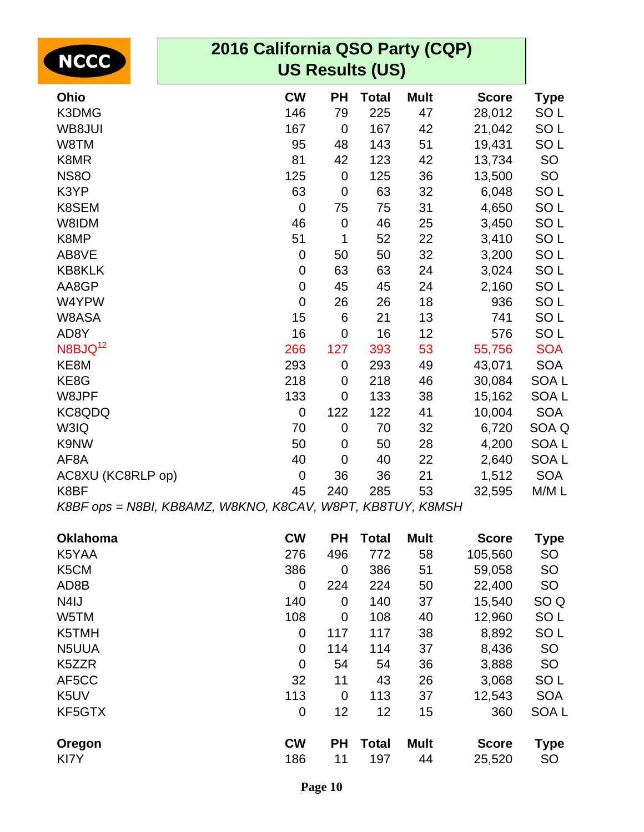| 2016 California QSO Party (CQP)<br><b>NCCC</b><br><b>US Results (US)</b> |                  |                  |              |             |              |                  |
|--------------------------------------------------------------------------|------------------|------------------|--------------|-------------|--------------|------------------|
| Ohio                                                                     | <b>CW</b>        | <b>PH</b>        | <b>Total</b> | <b>Mult</b> | <b>Score</b> | <b>Type</b>      |
| K3DMG                                                                    | 146              | 79               | 225          | 47          | 28,012       | SO <sub>L</sub>  |
| WB8JUI                                                                   | 167              | $\mathbf 0$      | 167          | 42          | 21,042       | SO <sub>L</sub>  |
| W8TM                                                                     | 95               | 48               | 143          | 51          | 19,431       | SO <sub>L</sub>  |
| K8MR                                                                     | 81               | 42               | 123          | 42          | 13,734       | SO               |
| <b>NS80</b>                                                              | 125              | $\mathbf 0$      | 125          | 36          | 13,500       | SO               |
| K3YP                                                                     | 63               | $\mathbf 0$      | 63           | 32          | 6,048        | SO <sub>L</sub>  |
| K8SEM                                                                    | $\mathbf 0$      | 75               | 75           | 31          | 4,650        | SO <sub>L</sub>  |
| W8IDM                                                                    | 46               | $\pmb{0}$        | 46           | 25          | 3,450        | SO <sub>L</sub>  |
| K8MP                                                                     | 51               | 1                | 52           | 22          | 3,410        | SO <sub>L</sub>  |
| AB8VE                                                                    | $\boldsymbol{0}$ | 50               | 50           | 32          | 3,200        | SO <sub>L</sub>  |
| <b>KB8KLK</b>                                                            | $\mathbf 0$      | 63               | 63           | 24          | 3,024        | SO <sub>L</sub>  |
| AA8GP                                                                    | $\mathbf 0$      | 45               | 45           | 24          | 2,160        | SO <sub>L</sub>  |
| W4YPW                                                                    | $\overline{0}$   | 26               | 26           | 18          | 936          | SO <sub>L</sub>  |
| W8ASA                                                                    | 15               | 6                | 21           | 13          | 741          | SO <sub>L</sub>  |
| AD8Y                                                                     | 16               | $\overline{0}$   | 16           | 12          | 576          | SO <sub>L</sub>  |
| N8BJQ <sup>12</sup>                                                      | 266              | 127              | 393          | 53          | 55,756       | <b>SOA</b>       |
| KE8M                                                                     | 293              | $\boldsymbol{0}$ | 293          | 49          | 43,071       | <b>SOA</b>       |
| KE8G                                                                     | 218              | $\mathbf 0$      | 218          | 46          | 30,084       | SOA <sub>L</sub> |
| W8JPF                                                                    | 133              | $\mathbf 0$      | 133          | 38          | 15,162       | SOA <sub>L</sub> |
| KC8QDQ                                                                   | $\mathbf 0$      | 122              | 122          | 41          | 10,004       | <b>SOA</b>       |
| W3IQ                                                                     | 70               | $\mathbf 0$      | 70           | 32          | 6,720        | SOA Q            |
| K9NW                                                                     | 50               | $\mathbf 0$      | 50           | 28          | 4,200        | SOA <sub>L</sub> |
| AF <sub>8</sub> A                                                        | 40               | $\mathbf 0$      | 40           | 22          | 2,640        | SOA <sub>L</sub> |
| AC8XU (KC8RLP op)                                                        | $\mathbf 0$      | 36               | 36           | 21          | 1,512        | <b>SOA</b>       |
| K8BF                                                                     | 45               | 240              | 285          | 53          | 32,595       | M/ML             |
| K8BF ops = N8BI, KB8AMZ, W8KNO, K8CAV, W8PT, KB8TUY, K8MSH               |                  |                  |              |             |              |                  |

| <b>Oklahoma</b>   | <b>CW</b>   | <b>PH</b>   | <b>Total</b> | <b>Mult</b> | <b>Score</b> | <b>Type</b>     |
|-------------------|-------------|-------------|--------------|-------------|--------------|-----------------|
| K5YAA             | 276         | 496         | 772          | 58          | 105,560      | <b>SO</b>       |
| K5CM              | 386         | $\mathbf 0$ | 386          | 51          | 59,058       | <b>SO</b>       |
| AD8B              | 0           | 224         | 224          | 50          | 22,400       | <b>SO</b>       |
| N <sub>4</sub> IJ | 140         | 0           | 140          | 37          | 15,540       | SO <sub>Q</sub> |
| W5TM              | 108         | $\mathbf 0$ | 108          | 40          | 12,960       | SO <sub>L</sub> |
| K5TMH             | 0           | 117         | 117          | 38          | 8,892        | SO <sub>L</sub> |
| N5UUA             | 0           | 114         | 114          | 37          | 8,436        | <b>SO</b>       |
| K5ZZR             | $\mathbf 0$ | 54          | 54           | 36          | 3,888        | <b>SO</b>       |
| AF5CC             | 32          | 11          | 43           | 26          | 3,068        | SO <sub>L</sub> |
| K <sub>5</sub> UV | 113         | $\mathbf 0$ | 113          | 37          | 12,543       | <b>SOA</b>      |
| KF5GTX            | 0           | 12          | 12           | 15          | 360          | <b>SOAL</b>     |
| Oregon            | <b>CW</b>   | <b>PH</b>   | <b>Total</b> | <b>Mult</b> | <b>Score</b> | <b>Type</b>     |
| KI7Y              | 186         | 11          | 197          | 44          | 25,520       | <b>SO</b>       |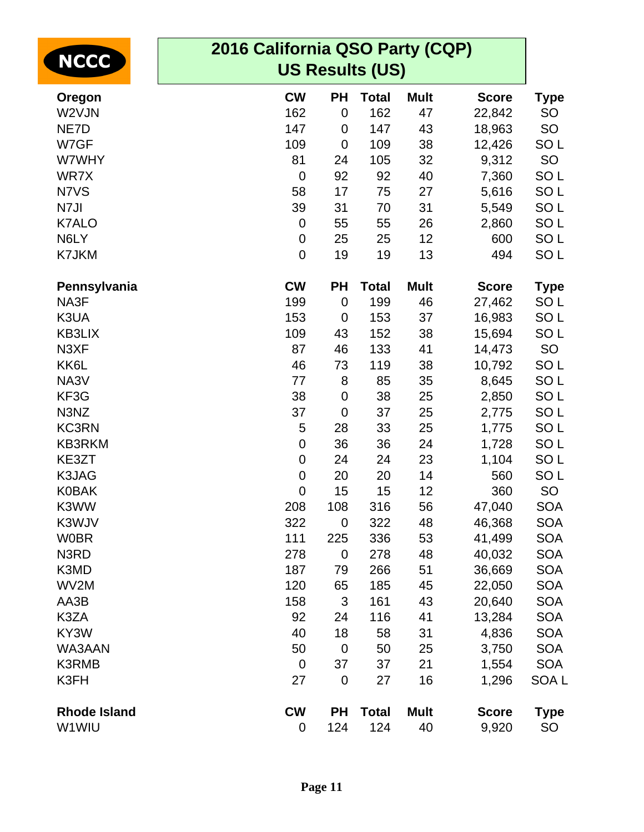| <b>NCCC</b>         | 2016 California QSO Party (CQP)<br><b>US Results (US)</b> |                |              |             |              |                  |  |  |  |  |
|---------------------|-----------------------------------------------------------|----------------|--------------|-------------|--------------|------------------|--|--|--|--|
| Oregon              | <b>CW</b>                                                 | PH             | <b>Total</b> | <b>Mult</b> | <b>Score</b> | <b>Type</b>      |  |  |  |  |
| W2VJN               | 162                                                       | $\mathbf 0$    | 162          | 47          | 22,842       | <b>SO</b>        |  |  |  |  |
| NE7D                | 147                                                       | 0              | 147          | 43          | 18,963       | SO               |  |  |  |  |
| W7GF                | 109                                                       | $\mathbf 0$    | 109          | 38          | 12,426       | SO <sub>L</sub>  |  |  |  |  |
| W7WHY               | 81                                                        | 24             | 105          | 32          | 9,312        | SO               |  |  |  |  |
| WR7X                | $\mathbf 0$                                               | 92             | 92           | 40          | 7,360        | SO <sub>L</sub>  |  |  |  |  |
| N7VS                | 58                                                        | 17             | 75           | 27          | 5,616        | SO <sub>L</sub>  |  |  |  |  |
| N7JI                | 39                                                        | 31             | 70           | 31          | 5,549        | SO <sub>L</sub>  |  |  |  |  |
| <b>K7ALO</b>        | $\mathbf 0$                                               | 55             | 55           | 26          | 2,860        | SO <sub>L</sub>  |  |  |  |  |
| N6LY                | $\mathbf 0$                                               | 25             | 25           | 12          | 600          | SO <sub>L</sub>  |  |  |  |  |
| K7JKM               | $\mathbf 0$                                               | 19             | 19           | 13          | 494          | SO <sub>L</sub>  |  |  |  |  |
| Pennsylvania        | <b>CW</b>                                                 | <b>PH</b>      | <b>Total</b> | <b>Mult</b> | <b>Score</b> | <b>Type</b>      |  |  |  |  |
| NA3F                | 199                                                       | $\mathbf 0$    | 199          | 46          | 27,462       | SO <sub>L</sub>  |  |  |  |  |
| K3UA                | 153                                                       | 0              | 153          | 37          | 16,983       | SO <sub>L</sub>  |  |  |  |  |
| <b>KB3LIX</b>       | 109                                                       | 43             | 152          | 38          | 15,694       | SO <sub>L</sub>  |  |  |  |  |
| N3XF                | 87                                                        | 46             | 133          | 41          | 14,473       | SO               |  |  |  |  |
| KK6L                | 46                                                        | 73             | 119          | 38          | 10,792       | SO <sub>L</sub>  |  |  |  |  |
| NA3V                | 77                                                        | 8              | 85           | 35          | 8,645        | SO <sub>L</sub>  |  |  |  |  |
| KF3G                | 38                                                        | $\mathbf 0$    | 38           | 25          | 2,850        | SO <sub>L</sub>  |  |  |  |  |
| N3NZ                | 37                                                        | $\overline{0}$ | 37           | 25          | 2,775        | SO <sub>L</sub>  |  |  |  |  |
| <b>KC3RN</b>        | 5                                                         | 28             | 33           | 25          | 1,775        | SO <sub>L</sub>  |  |  |  |  |
| <b>KB3RKM</b>       | 0                                                         | 36             | 36           | 24          | 1,728        | SO <sub>L</sub>  |  |  |  |  |
| KE3ZT               | $\mathbf 0$                                               | 24             | 24           | 23          | 1,104        | SO <sub>L</sub>  |  |  |  |  |
| K3JAG               | $\mathbf 0$                                               | 20             | 20           | 14          | 560          | SO <sub>L</sub>  |  |  |  |  |
| <b>K0BAK</b>        | $\boldsymbol{0}$                                          | 15             | 15           | 12          | 360          | SO               |  |  |  |  |
| K3WW                | 208                                                       | 108            | 316          | 56          | 47,040       | <b>SOA</b>       |  |  |  |  |
| K3WJV               | 322                                                       | $\mathbf 0$    | 322          | 48          | 46,368       | <b>SOA</b>       |  |  |  |  |
| <b>W0BR</b>         | 111                                                       | 225            | 336          | 53          | 41,499       | <b>SOA</b>       |  |  |  |  |
| N3RD                | 278                                                       | $\mathbf 0$    | 278          | 48          | 40,032       | <b>SOA</b>       |  |  |  |  |
| K3MD                | 187                                                       | 79             | 266          | 51          | 36,669       | <b>SOA</b>       |  |  |  |  |
| WV2M                | 120                                                       | 65             | 185          | 45          | 22,050       | <b>SOA</b>       |  |  |  |  |
| AA3B                | 158                                                       | 3              | 161          | 43          | 20,640       | <b>SOA</b>       |  |  |  |  |
| K3ZA                | 92                                                        | 24             | 116          | 41          | 13,284       | <b>SOA</b>       |  |  |  |  |
| KY3W                | 40                                                        | 18             | 58           | 31          | 4,836        | <b>SOA</b>       |  |  |  |  |
| WA3AAN              | 50                                                        | $\mathbf 0$    | 50           | 25          | 3,750        | <b>SOA</b>       |  |  |  |  |
| K3RMB               | $\mathbf 0$                                               | 37             | 37           | 21          | 1,554        | <b>SOA</b>       |  |  |  |  |
| K3FH                | 27                                                        | $\mathbf 0$    | 27           | 16          | 1,296        | SOA <sub>L</sub> |  |  |  |  |
| <b>Rhode Island</b> | <b>CW</b>                                                 | PH             | <b>Total</b> | <b>Mult</b> | <b>Score</b> | <b>Type</b>      |  |  |  |  |
| W1WIU               | 0                                                         | 124            | 124          | 40          | 9,920        | <b>SO</b>        |  |  |  |  |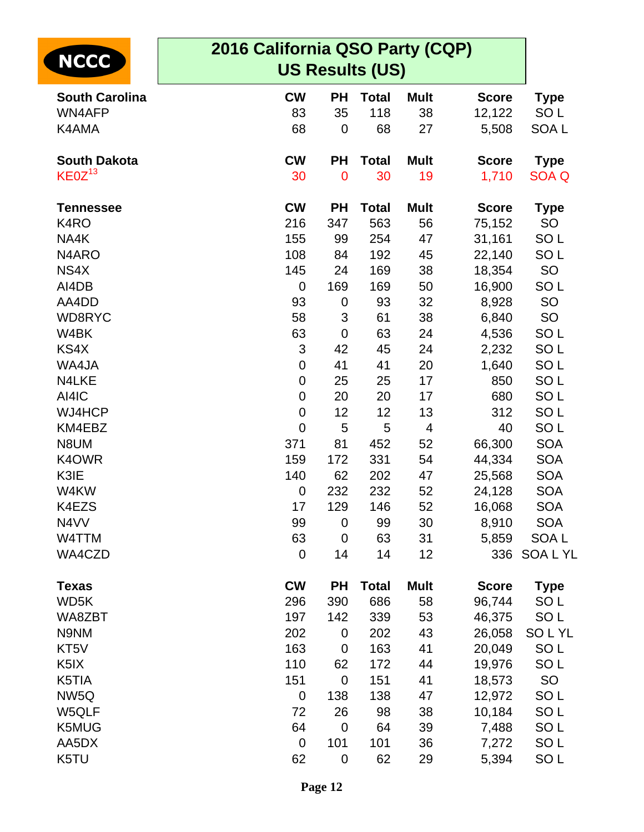|                       | 2016 California QSO Party (CQP) |                |              |             |              |                  |  |  |
|-----------------------|---------------------------------|----------------|--------------|-------------|--------------|------------------|--|--|
| <b>NCCC</b>           | <b>US Results (US)</b>          |                |              |             |              |                  |  |  |
| <b>South Carolina</b> | <b>CW</b>                       | <b>PH</b>      | <b>Total</b> | <b>Mult</b> | <b>Score</b> | <b>Type</b>      |  |  |
| WN4AFP                | 83                              | 35             | 118          | 38          | 12,122       | SO <sub>L</sub>  |  |  |
| K4AMA                 | 68                              | 0              | 68           | 27          | 5,508        | SOA <sub>L</sub> |  |  |
| <b>South Dakota</b>   | <b>CW</b>                       | <b>PH</b>      | <b>Total</b> | <b>Mult</b> | <b>Score</b> | <b>Type</b>      |  |  |
| KEOZ <sup>13</sup>    | 30                              | $\mathbf 0$    | 30           | 19          | 1,710        | SOA Q            |  |  |
| <b>Tennessee</b>      | <b>CW</b>                       | <b>PH</b>      | <b>Total</b> | <b>Mult</b> | <b>Score</b> | <b>Type</b>      |  |  |
| K <sub>4</sub> RO     | 216                             | 347            | 563          | 56          | 75,152       | SO               |  |  |
| NA4K                  | 155                             | 99             | 254          | 47          | 31,161       | SO <sub>L</sub>  |  |  |
| N4ARO                 | 108                             | 84             | 192          | 45          | 22,140       | SO <sub>L</sub>  |  |  |
| NS4X                  | 145                             | 24             | 169          | 38          | 18,354       | SO               |  |  |
| AI4DB                 | $\mathbf 0$                     | 169            | 169          | 50          | 16,900       | SO <sub>L</sub>  |  |  |
| AA4DD                 | 93                              | 0              | 93           | 32          | 8,928        | SO               |  |  |
| WD8RYC                | 58                              | 3              | 61           | 38          | 6,840        | SO               |  |  |
| W4BK                  | 63                              | $\mathbf 0$    | 63           | 24          | 4,536        | SO <sub>L</sub>  |  |  |
| KS4X                  | 3                               | 42             | 45           | 24          | 2,232        | SO <sub>L</sub>  |  |  |
| WA4JA                 | $\mathbf 0$                     | 41             | 41           | 20          | 1,640        | SO <sub>L</sub>  |  |  |
| N4LKE                 | $\mathbf 0$                     | 25             | 25           | 17          | 850          | SO <sub>L</sub>  |  |  |
| AI4IC                 | $\mathbf 0$                     | 20             | 20           | 17          | 680          | SO <sub>L</sub>  |  |  |
| WJ4HCP                | $\mathbf 0$                     | 12             | 12           | 13          | 312          | SO <sub>L</sub>  |  |  |
| KM4EBZ                | $\mathbf 0$                     | 5              | 5            | 4           | 40           | SO <sub>L</sub>  |  |  |
| N8UM                  | 371                             | 81             | 452          | 52          | 66,300       | <b>SOA</b>       |  |  |
| K4OWR                 | 159                             | 172            | 331          | 54          | 44,334       | <b>SOA</b>       |  |  |
| K3IE                  | 140                             | 62             | 202          | 47          | 25,568       | <b>SOA</b>       |  |  |
| W4KW                  | $\mathbf 0$                     | 232            | 232          | 52          | 24,128       | <b>SOA</b>       |  |  |
| K4EZS                 | 17                              | 129            | 146          | 52          | 16,068       | <b>SOA</b>       |  |  |
| N4VV                  | 99                              | $\mathbf 0$    | 99           | 30          | 8,910        | <b>SOA</b>       |  |  |
| W4TTM                 | 63                              | $\mathbf 0$    | 63           | 31          | 5,859        | SOA L            |  |  |
| WA4CZD                | $\mathbf 0$                     | 14             | 14           | 12          | 336          | SOA L YL         |  |  |
| <b>Texas</b>          | <b>CW</b>                       | <b>PH</b>      | <b>Total</b> | <b>Mult</b> | <b>Score</b> | <b>Type</b>      |  |  |
| WD5K                  | 296                             | 390            | 686          | 58          | 96,744       | SO <sub>L</sub>  |  |  |
| WA8ZBT                | 197                             | 142            | 339          | 53          | 46,375       | SO <sub>L</sub>  |  |  |
| N9NM                  | 202                             | $\mathbf 0$    | 202          | 43          | 26,058       | SOLYL            |  |  |
| KT5V                  | 163                             | $\mathbf 0$    | 163          | 41          | 20,049       | SO <sub>L</sub>  |  |  |
| K <sub>5</sub> IX     | 110                             | 62             | 172          | 44          | 19,976       | SO <sub>L</sub>  |  |  |
| K5TIA                 | 151                             | $\overline{0}$ | 151          | 41          | 18,573       | SO               |  |  |
| NW <sub>5Q</sub>      | $\mathbf 0$                     | 138            | 138          | 47          | 12,972       | SO <sub>L</sub>  |  |  |
| W5QLF                 | 72                              | 26             | 98           | 38          | 10,184       | SO <sub>L</sub>  |  |  |
| K5MUG                 | 64                              | $\mathbf 0$    | 64           | 39          | 7,488        | SO <sub>L</sub>  |  |  |
| AA5DX                 | $\mathbf 0$                     | 101            | 101          | 36          | 7,272        | SO <sub>L</sub>  |  |  |
| K5TU                  | 62                              | $\mathbf 0$    | 62           | 29          | 5,394        | SO <sub>L</sub>  |  |  |
|                       |                                 |                |              |             |              |                  |  |  |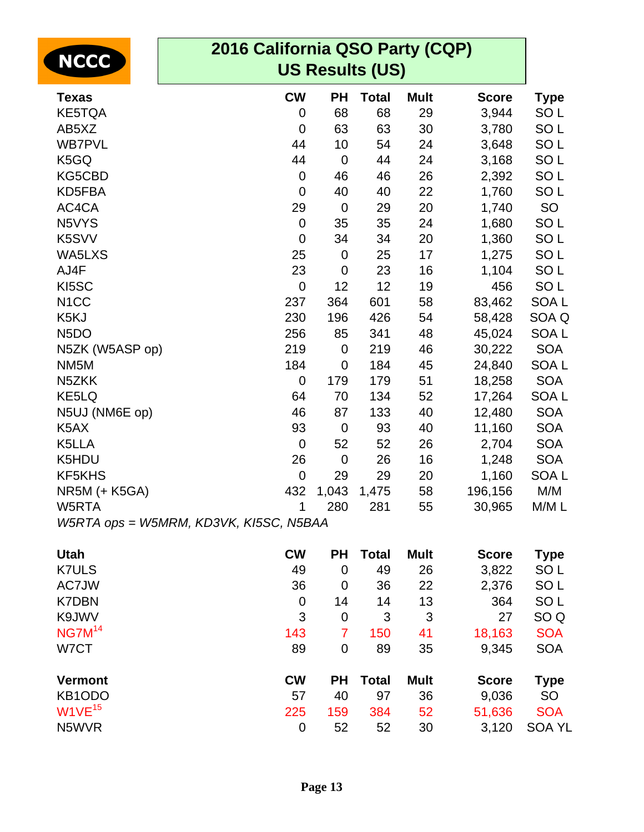| 2016 California QSO Party (CQP)<br><b>NCCC</b><br><b>US Results (US)</b> |             |                  |              |             |              |                  |
|--------------------------------------------------------------------------|-------------|------------------|--------------|-------------|--------------|------------------|
| <b>Texas</b>                                                             | <b>CW</b>   | <b>PH</b>        | <b>Total</b> | <b>Mult</b> | <b>Score</b> | <b>Type</b>      |
| <b>KE5TQA</b>                                                            | $\mathbf 0$ | 68               | 68           | 29          | 3,944        | SO <sub>L</sub>  |
| AB5XZ                                                                    | $\mathbf 0$ | 63               | 63           | 30          | 3,780        | SO <sub>L</sub>  |
| <b>WB7PVL</b>                                                            | 44          | 10               | 54           | 24          | 3,648        | SO <sub>L</sub>  |
| K5GQ                                                                     | 44          | $\mathbf 0$      | 44           | 24          | 3,168        | SO <sub>L</sub>  |
| KG5CBD                                                                   | $\mathbf 0$ | 46               | 46           | 26          | 2,392        | SO <sub>L</sub>  |
| KD5FBA                                                                   | $\mathbf 0$ | 40               | 40           | 22          | 1,760        | SO <sub>L</sub>  |
| AC4CA                                                                    | 29          | $\mathbf 0$      | 29           | 20          | 1,740        | SO               |
| N5VYS                                                                    | $\mathbf 0$ | 35               | 35           | 24          | 1,680        | SO <sub>L</sub>  |
| K5SVV                                                                    | $\mathbf 0$ | 34               | 34           | 20          | 1,360        | SO <sub>L</sub>  |
| WA5LXS                                                                   | 25          | $\mathbf 0$      | 25           | 17          | 1,275        | SO <sub>L</sub>  |
| AJ4F                                                                     | 23          | $\mathbf 0$      | 23           | 16          | 1,104        | SO <sub>L</sub>  |
| KI5SC                                                                    | $\mathbf 0$ | 12               | 12           | 19          | 456          | SO <sub>L</sub>  |
| N <sub>1</sub> CC                                                        | 237         | 364              | 601          | 58          | 83,462       | SOA <sub>L</sub> |
| K5KJ                                                                     | 230         | 196              | 426          | 54          | 58,428       | SOA Q            |
| N <sub>5</sub> DO                                                        | 256         | 85               | 341          | 48          | 45,024       | SOA <sub>L</sub> |
| N5ZK (W5ASP op)                                                          | 219         | $\mathbf 0$      | 219          | 46          | 30,222       | <b>SOA</b>       |
| NM <sub>5</sub> M                                                        | 184         | $\boldsymbol{0}$ | 184          | 45          | 24,840       | SOA L            |
| N <sub>5</sub> ZKK                                                       | $\mathbf 0$ | 179              | 179          | 51          | 18,258       | <b>SOA</b>       |
| KE5LQ                                                                    | 64          | 70               | 134          | 52          | 17,264       | SOA <sub>L</sub> |
| N5UJ (NM6E op)                                                           | 46          | 87               | 133          | 40          | 12,480       | <b>SOA</b>       |
| K <sub>5</sub> AX                                                        | 93          | $\mathbf 0$      | 93           | 40          | 11,160       | <b>SOA</b>       |
| K5LLA                                                                    | $\mathbf 0$ | 52               | 52           | 26          | 2,704        | <b>SOA</b>       |
| K5HDU                                                                    | 26          | $\mathbf 0$      | 26           | 16          | 1,248        | <b>SOA</b>       |
| KF5KHS                                                                   | $\mathbf 0$ | 29               | 29           | 20          | 1,160        | SOA <sub>L</sub> |
| NR5M (+ K5GA)                                                            | 432         | 1,043            | 1,475        | 58          | 196,156      | M/M              |
| W5RTA                                                                    | 1           | 280              | 281          | 55          | 30,965       | M/M L            |
| W5RTA ops = W5MRM, KD3VK, KI5SC, N5BAA                                   |             |                  |              |             |              |                  |
| <b>Utah</b>                                                              | <b>CW</b>   | <b>PH</b>        | <b>Total</b> | <b>Mult</b> | <b>Score</b> | <b>Type</b>      |
| <b>K7ULS</b>                                                             | 49          | $\mathbf 0$      | 49           | 26          | 3,822        | SO <sub>L</sub>  |
| AC7JW                                                                    | 36          | $\overline{0}$   | 36           | 22          | 2,376        | SO <sub>L</sub>  |
| <b>K7DBN</b>                                                             | $\mathbf 0$ | 14               | 14           | 13          | 364          | SO <sub>L</sub>  |
| K9JWV                                                                    | 3           | $\mathbf 0$      | 3            | 3           | 27           | SO <sub>Q</sub>  |
| NG7M <sup>14</sup>                                                       | 143         | $\overline{7}$   | 150          | 41          | 18,163       | <b>SOA</b>       |
| W7CT                                                                     | 89          | 0                | 89           | 35          | 9,345        | <b>SOA</b>       |
| <b>Vermont</b>                                                           | <b>CW</b>   | <b>PH</b>        | <b>Total</b> | <b>Mult</b> | <b>Score</b> | <b>Type</b>      |
| KB1ODO                                                                   | 57          | 40               | 97           | 36          | 9,036        | SO               |
| W1VE <sup>15</sup>                                                       | 225         | 159              | 384          | 52          | 51,636       | <b>SOA</b>       |
| N5WVR                                                                    | $\mathbf 0$ | 52               | 52           | 30          | 3,120        | <b>SOA YL</b>    |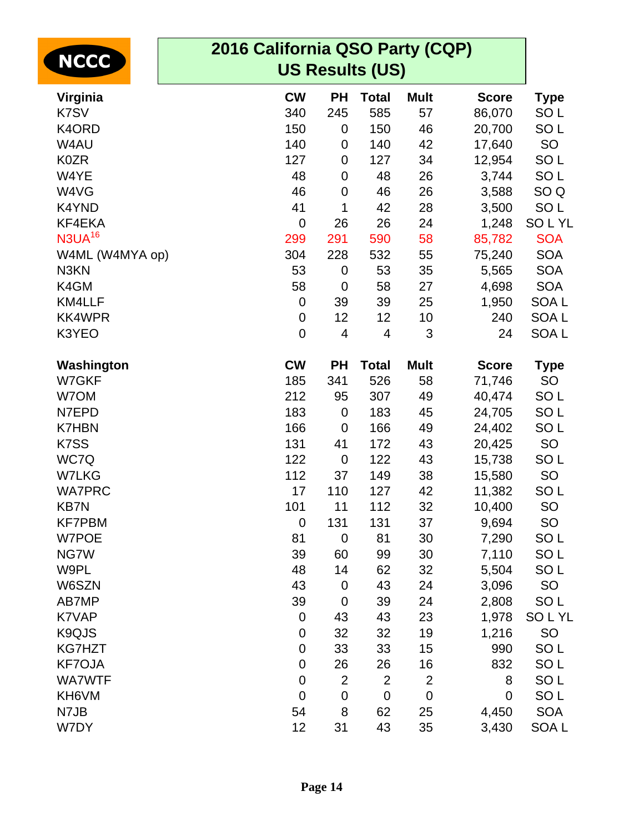| <b>NCCC</b>        | 2016 California QSO Party (CQP)<br><b>US Results (US)</b> |                |                |                |              |                  |
|--------------------|-----------------------------------------------------------|----------------|----------------|----------------|--------------|------------------|
| Virginia           | <b>CW</b>                                                 | <b>PH</b>      | <b>Total</b>   | <b>Mult</b>    | <b>Score</b> | <b>Type</b>      |
| K7SV               | 340                                                       | 245            | 585            | 57             | 86,070       | SO <sub>L</sub>  |
| K4ORD              | 150                                                       | 0              | 150            | 46             | 20,700       | SO <sub>L</sub>  |
| W4AU               | 140                                                       | 0              | 140            | 42             | 17,640       | SO               |
| <b>K0ZR</b>        | 127                                                       | 0              | 127            | 34             | 12,954       | SO <sub>L</sub>  |
| W4YE               | 48                                                        | 0              | 48             | 26             | 3,744        | SO <sub>L</sub>  |
| W4VG               | 46                                                        | $\mathbf 0$    | 46             | 26             | 3,588        | SO <sub>Q</sub>  |
| K4YND              | 41                                                        | 1              | 42             | 28             | 3,500        | SO <sub>L</sub>  |
| KF4EKA             | $\mathbf 0$                                               | 26             | 26             | 24             | 1,248        | <b>SOLYL</b>     |
| N3UA <sup>16</sup> | 299                                                       | 291            | 590            | 58             | 85,782       | <b>SOA</b>       |
| W4ML (W4MYA op)    | 304                                                       | 228            | 532            | 55             | 75,240       | <b>SOA</b>       |
| N3KN               | 53                                                        | $\mathbf 0$    | 53             | 35             | 5,565        | <b>SOA</b>       |
| K4GM               | 58                                                        | $\mathbf 0$    | 58             | 27             | 4,698        | <b>SOA</b>       |
| KM4LLF             | 0                                                         | 39             | 39             | 25             | 1,950        | SOA <sub>L</sub> |
| <b>KK4WPR</b>      | $\mathbf 0$                                               | 12             | 12             | 10             | 240          | SOA <sub>L</sub> |
| K3YEO              | $\mathbf 0$                                               | 4              | 4              | 3              | 24           | SOA <sub>L</sub> |
| Washington         | <b>CW</b>                                                 | <b>PH</b>      | <b>Total</b>   | <b>Mult</b>    | <b>Score</b> | <b>Type</b>      |
| W7GKF              | 185                                                       | 341            | 526            | 58             | 71,746       | SO               |
| W7OM               | 212                                                       | 95             | 307            | 49             | 40,474       | SO <sub>L</sub>  |
| N7EPD              | 183                                                       | $\mathbf 0$    | 183            | 45             | 24,705       | SO <sub>L</sub>  |
| <b>K7HBN</b>       | 166                                                       | $\mathbf 0$    | 166            | 49             | 24,402       | SO <sub>L</sub>  |
| K7SS               | 131                                                       | 41             | 172            | 43             | 20,425       | SO               |
| WC7Q               | 122                                                       | $\mathbf 0$    | 122            | 43             | 15,738       | SO <sub>L</sub>  |
| <b>W7LKG</b>       | 112                                                       | 37             | 149            | 38             | 15,580       | SO               |
| <b>WA7PRC</b>      | 17                                                        | 110            | 127            | 42             | 11,382       | SO <sub>L</sub>  |
| <b>KB7N</b>        | 101                                                       | 11             | 112            | 32             | 10,400       | SO               |
| <b>KF7PBM</b>      | $\mathbf 0$                                               | 131            | 131            | 37             | 9,694        | SO               |
| W7POE              | 81                                                        | $\mathbf 0$    | 81             | 30             | 7,290        | SO <sub>L</sub>  |
| NG7W               | 39                                                        | 60             | 99             | 30             | 7,110        | SO <sub>L</sub>  |
| W9PL               | 48                                                        | 14             | 62             | 32             | 5,504        | SO <sub>L</sub>  |
| W6SZN              | 43                                                        | $\mathbf 0$    | 43             | 24             | 3,096        | <b>SO</b>        |
| AB7MP              | 39                                                        | $\mathbf 0$    | 39             | 24             | 2,808        | SO <sub>L</sub>  |
| K7VAP              | $\mathbf 0$                                               | 43             | 43             | 23             | 1,978        | <b>SOLYL</b>     |
| K9QJS              | $\mathbf 0$                                               | 32             | 32             | 19             | 1,216        | SO               |
| <b>KG7HZT</b>      | $\mathbf 0$                                               | 33             | 33             | 15             | 990          | SO <sub>L</sub>  |
| <b>KF7OJA</b>      | $\mathbf 0$                                               | 26             | 26             | 16             | 832          | SO <sub>L</sub>  |
| <b>WA7WTF</b>      | $\mathbf 0$                                               | $\overline{2}$ | $\overline{2}$ | $\overline{2}$ | 8            | SO <sub>L</sub>  |
| KH6VM              | $\mathbf 0$                                               | $\mathbf 0$    | $\mathbf 0$    | $\mathbf 0$    | $\mathbf 0$  | SO <sub>L</sub>  |
| N7JB               | 54                                                        | 8              | 62             | 25             | 4,450        | <b>SOA</b>       |
| W7DY               | 12                                                        | 31             | 43             | 35             | 3,430        | SOA L            |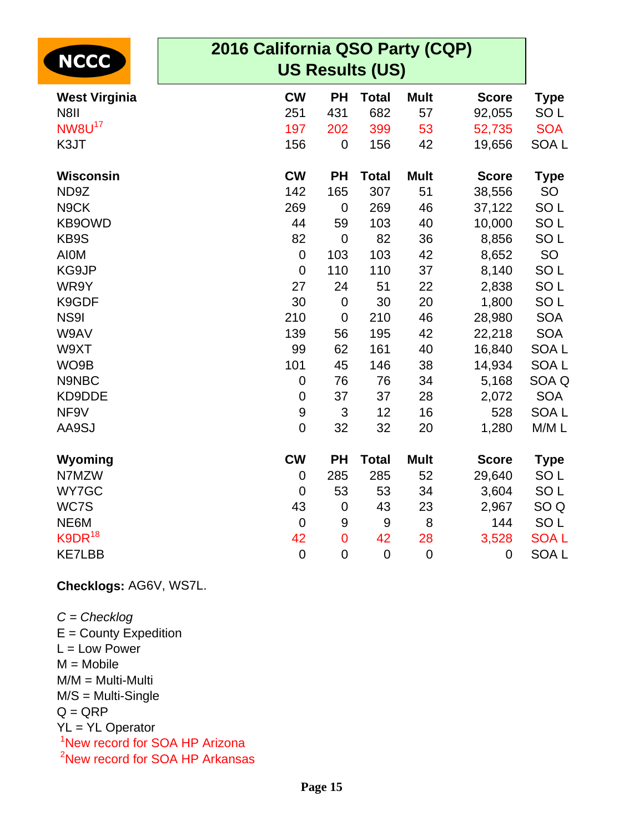| <b>NCCC</b>              | 2016 California QSO Party (CQP)<br><b>US Results (US)</b> |                  |                  |             |              |                  |
|--------------------------|-----------------------------------------------------------|------------------|------------------|-------------|--------------|------------------|
| <b>West Virginia</b>     | <b>CW</b>                                                 | <b>PH</b>        | <b>Total</b>     | <b>Mult</b> | <b>Score</b> | <b>Type</b>      |
| <b>N8II</b>              | 251                                                       | 431              | 682              | 57          | 92,055       | SO <sub>L</sub>  |
| <b>NW8U<sup>17</sup></b> | 197                                                       | 202              | 399              | 53          | 52,735       | <b>SOA</b>       |
| K3JT                     | 156                                                       | $\boldsymbol{0}$ | 156              | 42          | 19,656       | SOA <sub>L</sub> |
| <b>Wisconsin</b>         | <b>CW</b>                                                 | <b>PH</b>        | <b>Total</b>     | <b>Mult</b> | <b>Score</b> | <b>Type</b>      |
| ND9Z                     | 142                                                       | 165              | 307              | 51          | 38,556       | SO               |
| N9CK                     | 269                                                       | $\mathbf 0$      | 269              | 46          | 37,122       | SO <sub>L</sub>  |
| KB9OWD                   | 44                                                        | 59               | 103              | 40          | 10,000       | SO <sub>L</sub>  |
| KB9S                     | 82                                                        | $\mathbf 0$      | 82               | 36          | 8,856        | SO <sub>L</sub>  |
| <b>AIOM</b>              | $\mathbf 0$                                               | 103              | 103              | 42          | 8,652        | SO               |
| KG9JP                    | $\mathbf 0$                                               | 110              | 110              | 37          | 8,140        | SO <sub>L</sub>  |
| WR9Y                     | 27                                                        | 24               | 51               | 22          | 2,838        | SO <sub>L</sub>  |
| K9GDF                    | 30                                                        | $\pmb{0}$        | 30               | 20          | 1,800        | SO <sub>L</sub>  |
| <b>NS91</b>              | 210                                                       | $\mathbf 0$      | 210              | 46          | 28,980       | <b>SOA</b>       |
| W9AV                     | 139                                                       | 56               | 195              | 42          | 22,218       | <b>SOA</b>       |
| W9XT                     | 99                                                        | 62               | 161              | 40          | 16,840       | <b>SOAL</b>      |
| WO9B                     | 101                                                       | 45               | 146              | 38          | 14,934       | SOA <sub>L</sub> |
| N9NBC                    | $\mathbf 0$                                               | 76               | 76               | 34          | 5,168        | SOA Q            |
| KD9DDE                   | $\mathbf 0$                                               | 37               | 37               | 28          | 2,072        | <b>SOA</b>       |
| NF9V                     | $\boldsymbol{9}$                                          | 3                | 12               | 16          | 528          | <b>SOAL</b>      |
| AA9SJ                    | $\mathbf 0$                                               | 32               | 32               | 20          | 1,280        | M/ML             |
| Wyoming                  | <b>CW</b>                                                 | <b>PH</b>        | <b>Total</b>     | <b>Mult</b> | <b>Score</b> | <b>Type</b>      |
| N7MZW                    | $\mathbf 0$                                               | 285              | 285              | 52          | 29,640       | SO <sub>L</sub>  |
| WY7GC                    | $\mathbf 0$                                               | 53               | 53               | 34          | 3,604        | SO <sub>L</sub>  |
| WC7S                     | 43                                                        | 0                | 43               | 23          | 2,967        | SO <sub>Q</sub>  |
| NE6M                     | $\mathbf 0$                                               | 9                | $\boldsymbol{9}$ | 8           | 144          | SO <sub>L</sub>  |
| $K9DR^{18}$              | 42                                                        | $\mathbf 0$      | 42               | 28          | 3,528        | <b>SOAL</b>      |
| <b>KE7LBB</b>            | $\mathbf 0$                                               | $\mathbf 0$      | $\mathbf 0$      | $\mathbf 0$ | $\mathbf 0$  | SOA <sub>L</sub> |

**Checklogs:** AG6V, WS7L.

 $C =$ Checklog  $E =$  County Expedition L = Low Power  $M = Mobile$ M/M = Multi-Multi M/S = Multi-Single  $Q = QRP$ YL = YL Operator <sup>1</sup>New record for SOA HP Arizona <sup>2</sup>New record for SOA HP Arkansas